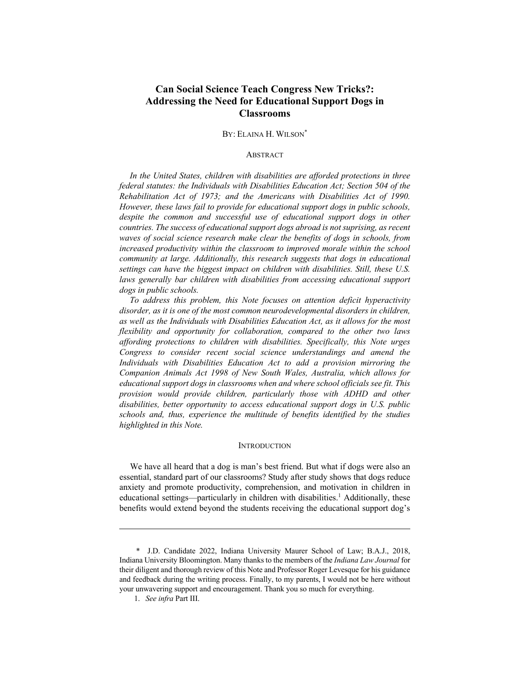# **Can Social Science Teach Congress New Tricks?: Addressing the Need for Educational Support Dogs in Classrooms**

### BY: ELAINA H. WILSON<sup>\*</sup>

### ABSTRACT

*In the United States, children with disabilities are afforded protections in three federal statutes: the Individuals with Disabilities Education Act; Section 504 of the Rehabilitation Act of 1973; and the Americans with Disabilities Act of 1990. However, these laws fail to provide for educational support dogs in public schools,* despite the common and successful use of educational support dogs in other *countries. The success of educational support dogs abroad is not suprising, as recent waves of social science research make clear the benefits of dogs in schools, from increased productivity within the classroom to improved morale within the school community at large. Additionally, this research suggests that dogs in educational settings can have the biggest impact on children with disabilities. Still, these U.S. laws generally bar children with disabilities from accessing educational support dogs in public schools.*

*To address this problem, this Note focuses on attention deficit hyperactivity disorder, as it is one of the most common neurodevelopmental disorders in children, as well as the Individuals with Disabilities Education Act, as it allows for the most flexibility and opportunity for collaboration, compared to the other two laws affording protections to children with disabilities. Specifically, this Note urges Congress to consider recent social science understandings and amend the Individuals with Disabilities Education Act to add a provision mirroring the Companion Animals Act 1998 of New South Wales, Australia, which allows for educational support dogs in classrooms when and where school officials see fit. This provision would provide children, particularly those with ADHD and other disabilities, better opportunity to access educational support dogs in U.S. public schools and, thus, experience the multitude of benefits identified by the studies highlighted in this Note.*

#### **INTRODUCTION**

We have all heard that a dog is man's best friend. But what if dogs were also an essential, standard part of our classrooms? Study after study shows that dogs reduce anxiety and promote productivity, comprehension, and motivation in children in educational settings—particularly in children with disabilities.1 Additionally, these benefits would extend beyond the students receiving the educational support dog's

 <sup>\*</sup> J.D. Candidate 2022, Indiana University Maurer School of Law; B.A.J., 2018, Indiana University Bloomington. Many thanks to the members of the *Indiana Law Journal* for their diligent and thorough review of this Note and Professor Roger Levesque for his guidance and feedback during the writing process. Finally, to my parents, I would not be here without your unwavering support and encouragement. Thank you so much for everything.

<sup>1.</sup> *See infra* Part III.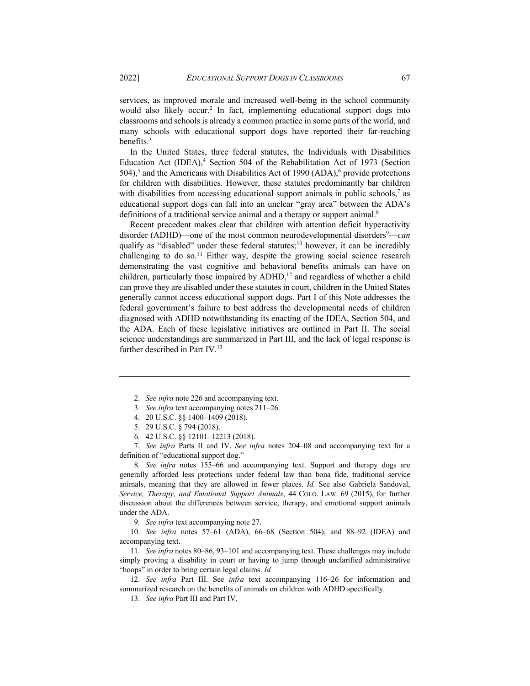services, as improved morale and increased well-being in the school community would also likely occur.<sup>2</sup> In fact, implementing educational support dogs into classrooms and schools is already a common practice in some parts of the world, and many schools with educational support dogs have reported their far-reaching benefits.3

In the United States, three federal statutes, the Individuals with Disabilities Education Act (IDEA),<sup>4</sup> Section 504 of the Rehabilitation Act of 1973 (Section 504),<sup>5</sup> and the Americans with Disabilities Act of 1990 (ADA),<sup>6</sup> provide protections for children with disabilities. However, these statutes predominantly bar children with disabilities from accessing educational support animals in public schools, $\tau$  as educational support dogs can fall into an unclear "gray area" between the ADA's definitions of a traditional service animal and a therapy or support animal.<sup>8</sup>

Recent precedent makes clear that children with attention deficit hyperactivity disorder (ADHD)—one of the most common neurodevelopmental disorders<sup>9</sup>—can qualify as "disabled" under these federal statutes;<sup>10</sup> however, it can be incredibly challenging to do so.<sup>11</sup> Either way, despite the growing social science research demonstrating the vast cognitive and behavioral benefits animals can have on children, particularly those impaired by  $ADHD<sup>12</sup>$  and regardless of whether a child can prove they are disabled under these statutes in court, children in the United States generally cannot access educational support dogs. Part I of this Note addresses the federal government's failure to best address the developmental needs of children diagnosed with ADHD notwithstanding its enacting of the IDEA, Section 504, and the ADA. Each of these legislative initiatives are outlined in Part II. The social science understandings are summarized in Part III, and the lack of legal response is further described in Part IV. $^{13}$ 

- 5. 29 U.S.C. § 794 (2018).
- 6. 42 U.S.C. §§ 12101–12213 (2018).

7. *See infra* Parts II and IV. *See infra* notes 204–08 and accompanying text for a definition of "educational support dog."

8. *See infra* notes 155–66 and accompanying text. Support and therapy dogs are generally afforded less protections under federal law than bona fide, traditional service animals, meaning that they are allowed in fewer places. *Id.* See also Gabriela Sandoval, *Service, Therapy, and Emotional Support Animals*, 44 COLO. LAW. 69 (2015), for further discussion about the differences between service, therapy, and emotional support animals under the ADA.

9. *See infra* text accompanying note 27.

10. *See infra* notes 57–61 (ADA), 66–68 (Section 504), and 88–92 (IDEA) and accompanying text.

11. *See infra* notes 80–86, 93–101 and accompanying text. These challenges may include simply proving a disability in court or having to jump through unclarified administrative "hoops" in order to bring certain legal claims. *Id.* 

12. *See infra* Part III. See *infra* text accompanying 116–26 for information and summarized research on the benefits of animals on children with ADHD specifically.

13. *See infra* Part III and Part IV.

<sup>2.</sup> *See infra* note 226 and accompanying text.

<sup>3.</sup> *See infra* text accompanying notes 211–26.

<sup>4.</sup> 20 U.S.C. §§ 1400–1409 (2018).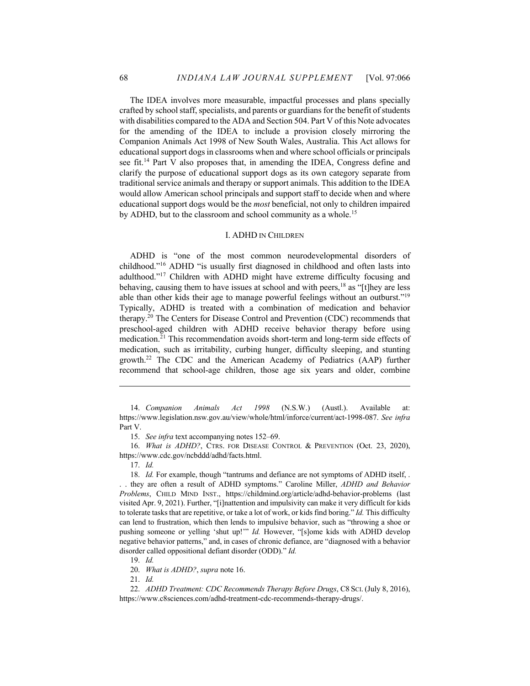The IDEA involves more measurable, impactful processes and plans specially crafted by school staff, specialists, and parents or guardians for the benefit of students with disabilities compared to the ADA and Section 504. Part V of this Note advocates for the amending of the IDEA to include a provision closely mirroring the Companion Animals Act 1998 of New South Wales, Australia. This Act allows for educational support dogs in classrooms when and where school officials or principals see fit.14 Part V also proposes that, in amending the IDEA, Congress define and clarify the purpose of educational support dogs as its own category separate from traditional service animals and therapy or support animals. This addition to the IDEA would allow American school principals and support staff to decide when and where educational support dogs would be the *most* beneficial, not only to children impaired by ADHD, but to the classroom and school community as a whole.<sup>15</sup>

### I. ADHD IN CHILDREN

ADHD is "one of the most common neurodevelopmental disorders of childhood."16 ADHD "is usually first diagnosed in childhood and often lasts into adulthood."17 Children with ADHD might have extreme difficulty focusing and behaving, causing them to have issues at school and with peers,<sup>18</sup> as "[t]hey are less able than other kids their age to manage powerful feelings without an outburst."19 Typically, ADHD is treated with a combination of medication and behavior therapy.<sup>20</sup> The Centers for Disease Control and Prevention (CDC) recommends that preschool-aged children with ADHD receive behavior therapy before using medication.21 This recommendation avoids short-term and long-term side effects of medication, such as irritability, curbing hunger, difficulty sleeping, and stunting growth.22 The CDC and the American Academy of Pediatrics (AAP) further recommend that school-age children, those age six years and older, combine

17. *Id.*

18. *Id.* For example, though "tantrums and defiance are not symptoms of ADHD itself, . . . they are often a result of ADHD symptoms." Caroline Miller, *ADHD and Behavior Problems*, CHILD MIND INST., https://childmind.org/article/adhd-behavior-problems (last visited Apr. 9, 2021). Further, "[i]nattention and impulsivity can make it very difficult for kids to tolerate tasks that are repetitive, or take a lot of work, or kids find boring." *Id.* This difficulty can lend to frustration, which then lends to impulsive behavior, such as "throwing a shoe or pushing someone or yelling 'shut up!'" *Id.* However, "[s]ome kids with ADHD develop negative behavior patterns," and, in cases of chronic defiance, are "diagnosed with a behavior disorder called oppositional defiant disorder (ODD)." *Id.*

19. *Id.*

20. *What is ADHD?*, *supra* note 16.

21. *Id.*

<sup>14.</sup> *Companion Animals Act 1998* (N.S.W.) (Austl.). Available at: https://www.legislation.nsw.gov.au/view/whole/html/inforce/current/act-1998-087. *See infra*  Part V.

<sup>15.</sup> *See infra* text accompanying notes 152–69.

<sup>16.</sup> *What is ADHD?*, CTRS. FOR DISEASE CONTROL & PREVENTION (Oct. 23, 2020), https://www.cdc.gov/ncbddd/adhd/facts.html.

<sup>22.</sup> *ADHD Treatment: CDC Recommends Therapy Before Drugs*, C8 SCI. (July 8, 2016), https://www.c8sciences.com/adhd-treatment-cdc-recommends-therapy-drugs/.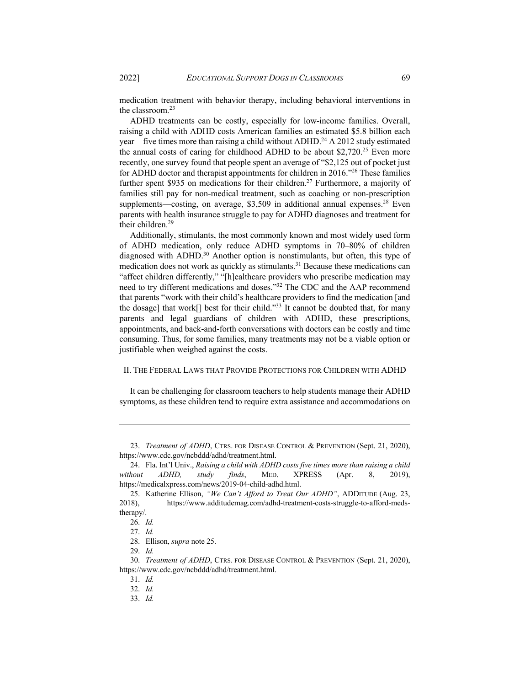medication treatment with behavior therapy, including behavioral interventions in the classroom. $23$ 

ADHD treatments can be costly, especially for low-income families. Overall, raising a child with ADHD costs American families an estimated \$5.8 billion each year—five times more than raising a child without ADHD.<sup>24</sup> A 2012 study estimated the annual costs of caring for childhood ADHD to be about \$2,720.<sup>25</sup> Even more recently, one survey found that people spent an average of "\$2,125 out of pocket just for ADHD doctor and therapist appointments for children in 2016.<sup>126</sup> These families further spent \$935 on medications for their children.<sup>27</sup> Furthermore, a majority of families still pay for non-medical treatment, such as coaching or non-prescription supplements—costing, on average,  $$3,509$  in additional annual expenses.<sup>28</sup> Even parents with health insurance struggle to pay for ADHD diagnoses and treatment for their children.29

Additionally, stimulants, the most commonly known and most widely used form of ADHD medication, only reduce ADHD symptoms in 70–80% of children diagnosed with ADHD.<sup>30</sup> Another option is nonstimulants, but often, this type of medication does not work as quickly as stimulants.<sup>31</sup> Because these medications can "affect children differently," "[h]ealthcare providers who prescribe medication may need to try different medications and doses."32 The CDC and the AAP recommend that parents "work with their child's healthcare providers to find the medication [and the dosage] that work[] best for their child."33 It cannot be doubted that, for many parents and legal guardians of children with ADHD, these prescriptions, appointments, and back-and-forth conversations with doctors can be costly and time consuming. Thus, for some families, many treatments may not be a viable option or justifiable when weighed against the costs.

## II. THE FEDERAL LAWS THAT PROVIDE PROTECTIONS FOR CHILDREN WITH ADHD

It can be challenging for classroom teachers to help students manage their ADHD symptoms, as these children tend to require extra assistance and accommodations on

<sup>23.</sup> *Treatment of ADHD*, CTRS. FOR DISEASE CONTROL & PREVENTION (Sept. 21, 2020), https://www.cdc.gov/ncbddd/adhd/treatment.html.

<sup>24.</sup> Fla. Int'l Univ., *Raising a child with ADHD costs five times more than raising a child without ADHD, study finds*, MED. XPRESS (Apr. 8, 2019), https://medicalxpress.com/news/2019-04-child-adhd.html.

<sup>25.</sup> Katherine Ellison, *"We Can't Afford to Treat Our ADHD"*, ADDITUDE (Aug. 23, 2018), https://www.additudemag.com/adhd-treatment-costs-struggle-to-afford-medstherapy/.

<sup>26.</sup> *Id.*

<sup>27.</sup> *Id.*

<sup>28.</sup> Ellison, *supra* note 25.

<sup>29.</sup> *Id.*

<sup>30.</sup> *Treatment of ADHD*, CTRS. FOR DISEASE CONTROL & PREVENTION (Sept. 21, 2020), https://www.cdc.gov/ncbddd/adhd/treatment.html.

<sup>31.</sup> *Id.*

<sup>32.</sup> *Id.*

<sup>33.</sup> *Id.*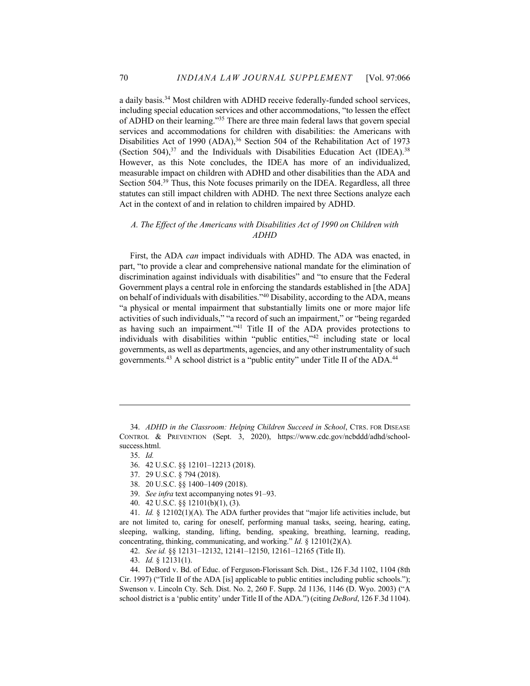a daily basis.34 Most children with ADHD receive federally-funded school services, including special education services and other accommodations, "to lessen the effect of ADHD on their learning."35 There are three main federal laws that govern special services and accommodations for children with disabilities: the Americans with Disabilities Act of 1990 (ADA),<sup>36</sup> Section 504 of the Rehabilitation Act of 1973 (Section 504), $37$  and the Individuals with Disabilities Education Act (IDEA).<sup>38</sup> However, as this Note concludes, the IDEA has more of an individualized, measurable impact on children with ADHD and other disabilities than the ADA and Section 504.39 Thus, this Note focuses primarily on the IDEA. Regardless, all three statutes can still impact children with ADHD. The next three Sections analyze each Act in the context of and in relation to children impaired by ADHD.

# *A. The Effect of the Americans with Disabilities Act of 1990 on Children with ADHD*

First, the ADA *can* impact individuals with ADHD. The ADA was enacted, in part, "to provide a clear and comprehensive national mandate for the elimination of discrimination against individuals with disabilities" and "to ensure that the Federal Government plays a central role in enforcing the standards established in [the ADA] on behalf of individuals with disabilities."<sup>40</sup> Disability, according to the ADA, means "a physical or mental impairment that substantially limits one or more major life activities of such individuals," "a record of such an impairment," or "being regarded as having such an impairment."41 Title II of the ADA provides protections to individuals with disabilities within "public entities,"42 including state or local governments, as well as departments, agencies, and any other instrumentality of such governments.<sup>43</sup> A school district is a "public entity" under Title II of the ADA.<sup>44</sup>

<sup>34.</sup> *ADHD in the Classroom: Helping Children Succeed in School*, CTRS. FOR DISEASE CONTROL & PREVENTION (Sept. 3, 2020), https://www.cdc.gov/ncbddd/adhd/schoolsuccess.html.

<sup>35.</sup> *Id.*

<sup>36.</sup> 42 U.S.C. §§ 12101–12213 (2018).

<sup>37.</sup> 29 U.S.C. § 794 (2018).

<sup>38.</sup> 20 U.S.C. §§ 1400–1409 (2018).

<sup>39.</sup> *See infra* text accompanying notes 91–93.

<sup>40.</sup> 42 U.S.C. §§ 12101(b)(1), (3).

<sup>41.</sup> *Id.* § 12102(1)(A). The ADA further provides that "major life activities include, but are not limited to, caring for oneself, performing manual tasks, seeing, hearing, eating, sleeping, walking, standing, lifting, bending, speaking, breathing, learning, reading, concentrating, thinking, communicating, and working." *Id.* § 12101(2)(A).

<sup>42.</sup> *See id.* §§ 12131–12132, 12141–12150, 12161–12165 (Title II).

<sup>43.</sup> *Id.* § 12131(1).

<sup>44.</sup> DeBord v. Bd. of Educ. of Ferguson-Florissant Sch. Dist., 126 F.3d 1102, 1104 (8th Cir. 1997) ("Title II of the ADA [is] applicable to public entities including public schools."); Swenson v. Lincoln Cty. Sch. Dist. No. 2, 260 F. Supp. 2d 1136, 1146 (D. Wyo. 2003) ("A school district is a 'public entity' under Title II of the ADA.") (citing *DeBord*, 126 F.3d 1104).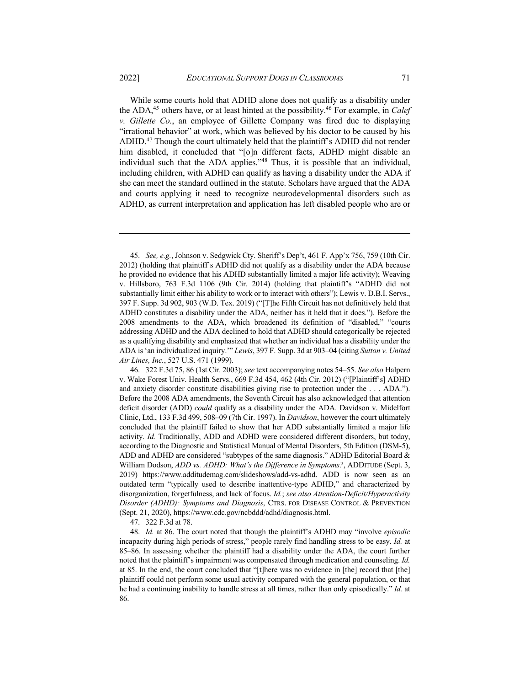While some courts hold that ADHD alone does not qualify as a disability under the ADA,<sup>45</sup> others have, or at least hinted at the possibility.<sup>46</sup> For example, in *Calef v. Gillette Co.*, an employee of Gillette Company was fired due to displaying "irrational behavior" at work, which was believed by his doctor to be caused by his ADHD.<sup>47</sup> Though the court ultimately held that the plaintiff's ADHD did not render him disabled, it concluded that "[o]n different facts, ADHD might disable an individual such that the ADA applies."48 Thus, it is possible that an individual, including children, with ADHD can qualify as having a disability under the ADA if she can meet the standard outlined in the statute. Scholars have argued that the ADA and courts applying it need to recognize neurodevelopmental disorders such as ADHD, as current interpretation and application has left disabled people who are or

47. 322 F.3d at 78.

<sup>45.</sup> *See, e.g.*, Johnson v. Sedgwick Cty. Sheriff's Dep't, 461 F. App'x 756, 759 (10th Cir. 2012) (holding that plaintiff's ADHD did not qualify as a disability under the ADA because he provided no evidence that his ADHD substantially limited a major life activity); Weaving v. Hillsboro, 763 F.3d 1106 (9th Cir. 2014) (holding that plaintiff's "ADHD did not substantially limit either his ability to work or to interact with others"); Lewis v. D.B.I. Servs., 397 F. Supp. 3d 902, 903 (W.D. Tex. 2019) ("[T]he Fifth Circuit has not definitively held that ADHD constitutes a disability under the ADA, neither has it held that it does."). Before the 2008 amendments to the ADA, which broadened its definition of "disabled," "courts addressing ADHD and the ADA declined to hold that ADHD should categorically be rejected as a qualifying disability and emphasized that whether an individual has a disability under the ADA is 'an individualized inquiry.'" *Lewis*, 397 F. Supp. 3d at 903–04 (citing *Sutton v. United Air Lines, Inc.*, 527 U.S. 471 (1999).

<sup>46.</sup> 322 F.3d 75, 86 (1st Cir. 2003); *see* text accompanying notes 54–55. *See also* Halpern v. Wake Forest Univ. Health Servs., 669 F.3d 454, 462 (4th Cir. 2012) ("[Plaintiff's] ADHD and anxiety disorder constitute disabilities giving rise to protection under the . . . ADA."). Before the 2008 ADA amendments, the Seventh Circuit has also acknowledged that attention deficit disorder (ADD) *could* qualify as a disability under the ADA. Davidson v. Midelfort Clinic, Ltd., 133 F.3d 499, 508–09 (7th Cir. 1997). In *Davidson*, however the court ultimately concluded that the plaintiff failed to show that her ADD substantially limited a major life activity. *Id.* Traditionally, ADD and ADHD were considered different disorders, but today, according to the Diagnostic and Statistical Manual of Mental Disorders, 5th Edition (DSM-5), ADD and ADHD are considered "subtypes of the same diagnosis." ADHD Editorial Board & William Dodson, *ADD vs. ADHD: What's the Difference in Symptoms?*, ADDITUDE (Sept. 3, 2019) https://www.additudemag.com/slideshows/add-vs-adhd. ADD is now seen as an outdated term "typically used to describe inattentive-type ADHD," and characterized by disorganization, forgetfulness, and lack of focus. *Id.*; *see also Attention-Deficit/Hyperactivity Disorder (ADHD): Symptoms and Diagnosis*, CTRS. FOR DISEASE CONTROL & PREVENTION (Sept. 21, 2020), https://www.cdc.gov/ncbddd/adhd/diagnosis.html.

<sup>48.</sup> *Id.* at 86. The court noted that though the plaintiff's ADHD may "involve *episodic* incapacity during high periods of stress," people rarely find handling stress to be easy. *Id.* at 85–86. In assessing whether the plaintiff had a disability under the ADA, the court further noted that the plaintiff's impairment was compensated through medication and counseling. *Id.*  at 85. In the end, the court concluded that "[t]here was no evidence in [the] record that [the] plaintiff could not perform some usual activity compared with the general population, or that he had a continuing inability to handle stress at all times, rather than only episodically." *Id.* at 86.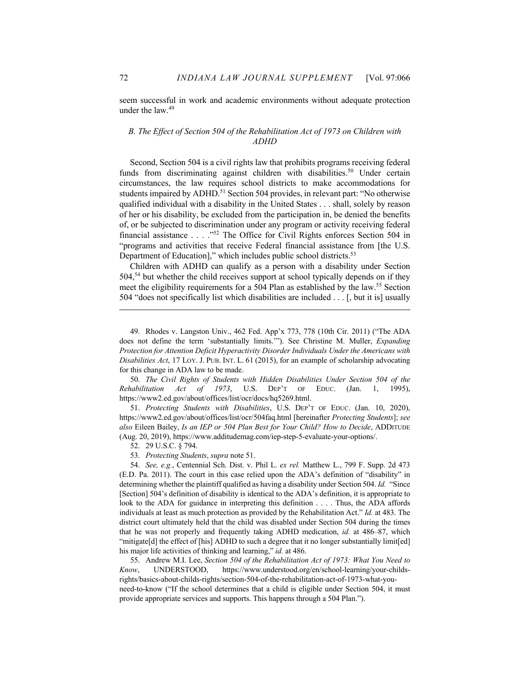seem successful in work and academic environments without adequate protection under the  $law<sup>49</sup>$ 

# *B. The Effect of Section 504 of the Rehabilitation Act of 1973 on Children with ADHD*

Second, Section 504 is a civil rights law that prohibits programs receiving federal funds from discriminating against children with disabilities.<sup>50</sup> Under certain circumstances, the law requires school districts to make accommodations for students impaired by ADHD.<sup>51</sup> Section 504 provides, in relevant part: "No otherwise qualified individual with a disability in the United States . . . shall, solely by reason of her or his disability, be excluded from the participation in, be denied the benefits of, or be subjected to discrimination under any program or activity receiving federal financial assistance . . . ."52 The Office for Civil Rights enforces Section 504 in "programs and activities that receive Federal financial assistance from [the U.S. Department of Education]," which includes public school districts.<sup>53</sup>

Children with ADHD can qualify as a person with a disability under Section 504,<sup>54</sup> but whether the child receives support at school typically depends on if they meet the eligibility requirements for a 504 Plan as established by the law.<sup>55</sup> Section 504 "does not specifically list which disabilities are included . . . [, but it is] usually

50. *The Civil Rights of Students with Hidden Disabilities Under Section 504 of the Rehabilitation Act of 1973*, U.S. DEP'T OF EDUC. (Jan. 1, 1995), https://www2.ed.gov/about/offices/list/ocr/docs/hq5269.html.

51. *Protecting Students with Disabilities*, U.S. DEP'T OF EDUC. (Jan. 10, 2020), https://www2.ed.gov/about/offices/list/ocr/504faq.html [hereinafter *Protecting Students*]; *see also* Eileen Bailey, *Is an IEP or 504 Plan Best for Your Child? How to Decide*, ADDITUDE (Aug. 20, 2019), https://www.additudemag.com/iep-step-5-evaluate-your-options/.

52. 29 U.S.C. § 794.

53. *Protecting Students*, *supra* note 51.

55. Andrew M.I. Lee, *Section 504 of the Rehabilitation Act of 1973: What You Need to Know*, UNDERSTOOD, https://www.understood.org/en/school-learning/your-childsrights/basics-about-childs-rights/section-504-of-the-rehabilitation-act-of-1973-what-youneed-to-know ("If the school determines that a child is eligible under Section 504, it must provide appropriate services and supports. This happens through a 504 Plan.").

<sup>49.</sup> Rhodes v. Langston Univ., 462 Fed. App'x 773, 778 (10th Cir. 2011) ("The ADA does not define the term 'substantially limits.'"). See Christine M. Muller, *Expanding Protection for Attention Deficit Hyperactivity Disorder Individuals Under the Americans with Disabilities Act*, 17 LOY. J. PUB. INT. L. 61 (2015), for an example of scholarship advocating for this change in ADA law to be made.

<sup>54.</sup> *See, e.g.*, Centennial Sch. Dist. v. Phil L. *ex rel.* Matthew L., 799 F. Supp. 2d 473 (E.D. Pa. 2011). The court in this case relied upon the ADA's definition of "disability" in determining whether the plaintiff qualified as having a disability under Section 504. *Id.* "Since [Section] 504's definition of disability is identical to the ADA's definition, it is appropriate to look to the ADA for guidance in interpreting this definition . . . . Thus, the ADA affords individuals at least as much protection as provided by the Rehabilitation Act." *Id.* at 483. The district court ultimately held that the child was disabled under Section 504 during the times that he was not properly and frequently taking ADHD medication, *id.* at 486–87, which "mitigate[d] the effect of [his] ADHD to such a degree that it no longer substantially limit[ed] his major life activities of thinking and learning," *id.* at 486.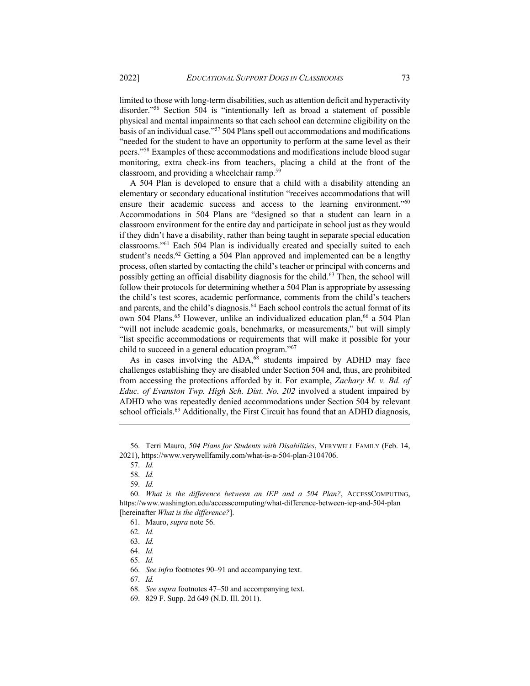limited to those with long-term disabilities, such as attention deficit and hyperactivity disorder."56 Section 504 is "intentionally left as broad a statement of possible physical and mental impairments so that each school can determine eligibility on the basis of an individual case."57 504 Plans spell out accommodations and modifications "needed for the student to have an opportunity to perform at the same level as their peers."58 Examples of these accommodations and modifications include blood sugar monitoring, extra check-ins from teachers, placing a child at the front of the classroom, and providing a wheelchair ramp. 59

A 504 Plan is developed to ensure that a child with a disability attending an elementary or secondary educational institution "receives accommodations that will ensure their academic success and access to the learning environment."<sup>60</sup> Accommodations in 504 Plans are "designed so that a student can learn in a classroom environment for the entire day and participate in school just as they would if they didn't have a disability, rather than being taught in separate special education classrooms."61 Each 504 Plan is individually created and specially suited to each student's needs.<sup>62</sup> Getting a 504 Plan approved and implemented can be a lengthy process, often started by contacting the child's teacher or principal with concerns and possibly getting an official disability diagnosis for the child.<sup>63</sup> Then, the school will follow their protocols for determining whether a 504 Plan is appropriate by assessing the child's test scores, academic performance, comments from the child's teachers and parents, and the child's diagnosis.<sup>64</sup> Each school controls the actual format of its own 504 Plans.<sup>65</sup> However, unlike an individualized education plan, <sup>66</sup> a 504 Plan "will not include academic goals, benchmarks, or measurements," but will simply "list specific accommodations or requirements that will make it possible for your child to succeed in a general education program."67

As in cases involving the ADA,<sup>68</sup> students impaired by ADHD may face challenges establishing they are disabled under Section 504 and, thus, are prohibited from accessing the protections afforded by it. For example, *Zachary M. v. Bd. of Educ. of Evanston Twp. High Sch. Dist. No. 202* involved a student impaired by ADHD who was repeatedly denied accommodations under Section 504 by relevant school officials.<sup>69</sup> Additionally, the First Circuit has found that an ADHD diagnosis,

58. *Id.*

61. Mauro, *supra* note 56.

67. *Id.*

<sup>56.</sup> Terri Mauro, *504 Plans for Students with Disabilities*, VERYWELL FAMILY (Feb. 14, 2021), https://www.verywellfamily.com/what-is-a-504-plan-3104706.

<sup>57.</sup> *Id.*

<sup>59.</sup> *Id.*

<sup>60.</sup> *What is the difference between an IEP and a 504 Plan?*, ACCESSCOMPUTING, https://www.washington.edu/accesscomputing/what-difference-between-iep-and-504-plan [hereinafter *What is the difference?*].

<sup>62.</sup> *Id.*

<sup>63.</sup> *Id.*

<sup>64.</sup> *Id.*

<sup>65.</sup> *Id.*

<sup>66.</sup> *See infra* footnotes 90–91 and accompanying text.

<sup>68.</sup> *See supra* footnotes 47–50 and accompanying text.

<sup>69.</sup> 829 F. Supp. 2d 649 (N.D. Ill. 2011).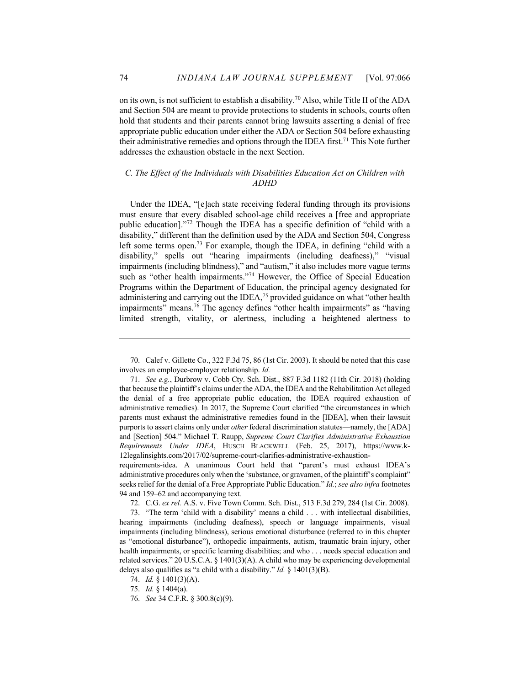on its own, is not sufficient to establish a disability.70 Also, while Title II of the ADA and Section 504 are meant to provide protections to students in schools, courts often hold that students and their parents cannot bring lawsuits asserting a denial of free appropriate public education under either the ADA or Section 504 before exhausting their administrative remedies and options through the IDEA first.<sup>71</sup> This Note further addresses the exhaustion obstacle in the next Section.

# *C. The Effect of the Individuals with Disabilities Education Act on Children with ADHD*

Under the IDEA, "[e]ach state receiving federal funding through its provisions must ensure that every disabled school-age child receives a [free and appropriate public education]."72 Though the IDEA has a specific definition of "child with a disability," different than the definition used by the ADA and Section 504, Congress left some terms open.<sup>73</sup> For example, though the IDEA, in defining "child with a disability," spells out "hearing impairments (including deafness)," "visual impairments (including blindness)," and "autism," it also includes more vague terms such as "other health impairments."<sup>74</sup> However, the Office of Special Education Programs within the Department of Education, the principal agency designated for administering and carrying out the IDEA,<sup>75</sup> provided guidance on what "other health impairments" means.<sup>76</sup> The agency defines "other health impairments" as "having limited strength, vitality, or alertness, including a heightened alertness to

<sup>70.</sup> Calef v. Gillette Co., 322 F.3d 75, 86 (1st Cir. 2003). It should be noted that this case involves an employee-employer relationship. *Id.*

<sup>71.</sup> *See e.g.*, Durbrow v. Cobb Cty. Sch. Dist., 887 F.3d 1182 (11th Cir. 2018) (holding that because the plaintiff's claims under the ADA, the IDEA and the Rehabilitation Act alleged the denial of a free appropriate public education, the IDEA required exhaustion of administrative remedies). In 2017, the Supreme Court clarified "the circumstances in which parents must exhaust the administrative remedies found in the [IDEA], when their lawsuit purports to assert claims only under *other* federal discrimination statutes—namely, the [ADA] and [Section] 504." Michael T. Raupp, *Supreme Court Clarifies Administrative Exhaustion Requirements Under IDEA*, HUSCH BLACKWELL (Feb. 25, 2017), https://www.k-12legalinsights.com/2017/02/supreme-court-clarifies-administrative-exhaustion-

requirements-idea. A unanimous Court held that "parent's must exhaust IDEA's administrative procedures only when the 'substance, or gravamen, of the plaintiff's complaint" seeks relief for the denial of a Free Appropriate Public Education." *Id.*; *see also infra* footnotes 94 and 159–62 and accompanying text.

<sup>72.</sup> C.G. *ex rel.* A.S. v. Five Town Comm. Sch. Dist., 513 F.3d 279, 284 (1st Cir. 2008).

<sup>73.</sup> "The term 'child with a disability' means a child . . . with intellectual disabilities, hearing impairments (including deafness), speech or language impairments, visual impairments (including blindness), serious emotional disturbance (referred to in this chapter as "emotional disturbance"), orthopedic impairments, autism, traumatic brain injury, other health impairments, or specific learning disabilities; and who . . . needs special education and related services." 20 U.S.C.A. § 1401(3)(A). A child who may be experiencing developmental delays also qualifies as "a child with a disability." *Id.* § 1401(3)(B).

<sup>74.</sup> *Id.* § 1401(3)(A).

<sup>75.</sup> *Id.* § 1404(a).

<sup>76.</sup> *See* 34 C.F.R. § 300.8(c)(9).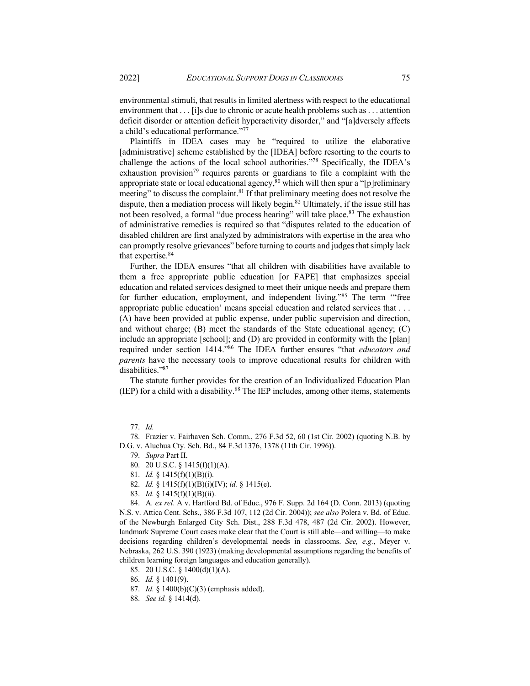environment that . . . [i]s due to chronic or acute health problems such as . . . attention deficit disorder or attention deficit hyperactivity disorder," and "[a]dversely affects a child's educational performance."77

Plaintiffs in IDEA cases may be "required to utilize the elaborative [administrative] scheme established by the [IDEA] before resorting to the courts to challenge the actions of the local school authorities."78 Specifically, the IDEA's exhaustion provision<sup>79</sup> requires parents or guardians to file a complaint with the appropriate state or local educational agency,  $80$  which will then spur a "[p]reliminary meeting" to discuss the complaint.<sup>81</sup> If that preliminary meeting does not resolve the dispute, then a mediation process will likely begin.<sup>82</sup> Ultimately, if the issue still has not been resolved, a formal "due process hearing" will take place.<sup>83</sup> The exhaustion of administrative remedies is required so that "disputes related to the education of disabled children are first analyzed by administrators with expertise in the area who can promptly resolve grievances" before turning to courts and judges that simply lack that expertise.<sup>84</sup>

Further, the IDEA ensures "that all children with disabilities have available to them a free appropriate public education [or FAPE] that emphasizes special education and related services designed to meet their unique needs and prepare them for further education, employment, and independent living."85 The term '"free appropriate public education' means special education and related services that . . . (A) have been provided at public expense, under public supervision and direction, and without charge; (B) meet the standards of the State educational agency; (C) include an appropriate [school]; and (D) are provided in conformity with the [plan] required under section 1414."86 The IDEA further ensures "that *educators and parents* have the necessary tools to improve educational results for children with disabilities."87

The statute further provides for the creation of an Individualized Education Plan (IEP) for a child with a disability. $88$  The IEP includes, among other items, statements

- 82. *Id.* § 1415(f)(1)(B)(i)(IV); *id.* § 1415(e).
- 83. *Id.* § 1415(f)(1)(B)(ii).

84. A*. ex rel*. A v. Hartford Bd. of Educ., 976 F. Supp. 2d 164 (D. Conn. 2013) (quoting N.S. v. Attica Cent. Schs., 386 F.3d 107, 112 (2d Cir. 2004)); *see also* Polera v. Bd. of Educ. of the Newburgh Enlarged City Sch. Dist., 288 F.3d 478, 487 (2d Cir. 2002). However, landmark Supreme Court cases make clear that the Court is still able—and willing—to make decisions regarding children's developmental needs in classrooms. *See, e.g.*, Meyer v. Nebraska, 262 U.S. 390 (1923) (making developmental assumptions regarding the benefits of children learning foreign languages and education generally).

85. 20 U.S.C. § 1400(d)(1)(A).

- 87. *Id.* § 1400(b)(C)(3) (emphasis added).
- 88. *See id.* § 1414(d).

<sup>77.</sup> *Id.*

<sup>78.</sup> Frazier v. Fairhaven Sch. Comm., 276 F.3d 52, 60 (1st Cir. 2002) (quoting N.B. by D.G. v. Aluchua Cty. Sch. Bd., 84 F.3d 1376, 1378 (11th Cir. 1996)).

<sup>79.</sup> *Supra* Part II.

<sup>80.</sup> 20 U.S.C. § 1415(f)(1)(A).

<sup>81.</sup> *Id.* § 1415(f)(1)(B)(i).

<sup>86.</sup> *Id.* § 1401(9).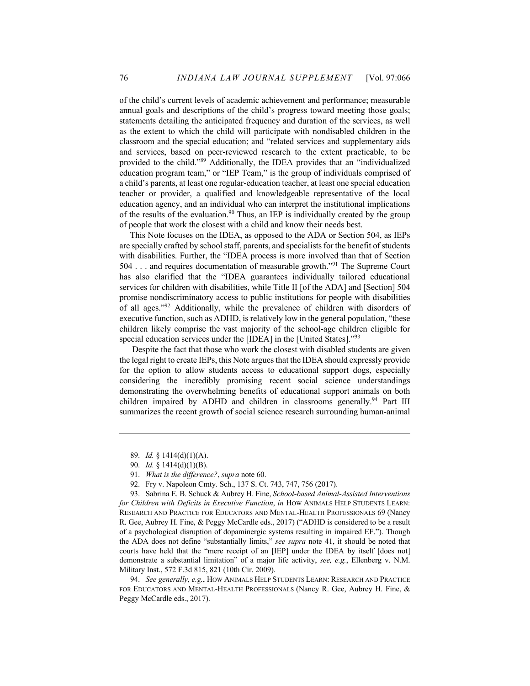of the child's current levels of academic achievement and performance; measurable annual goals and descriptions of the child's progress toward meeting those goals; statements detailing the anticipated frequency and duration of the services, as well as the extent to which the child will participate with nondisabled children in the classroom and the special education; and "related services and supplementary aids and services, based on peer-reviewed research to the extent practicable, to be provided to the child."89 Additionally, the IDEA provides that an "individualized education program team," or "IEP Team," is the group of individuals comprised of a child's parents, at least one regular-education teacher, at least one special education teacher or provider, a qualified and knowledgeable representative of the local education agency, and an individual who can interpret the institutional implications of the results of the evaluation.<sup>90</sup> Thus, an IEP is individually created by the group of people that work the closest with a child and know their needs best.

This Note focuses on the IDEA, as opposed to the ADA or Section 504, as IEPs are specially crafted by school staff, parents, and specialists for the benefit of students with disabilities. Further, the "IDEA process is more involved than that of Section 504 . . . and requires documentation of measurable growth."91 The Supreme Court has also clarified that the "IDEA guarantees individually tailored educational services for children with disabilities, while Title II [of the ADA] and [Section] 504 promise nondiscriminatory access to public institutions for people with disabilities of all ages."92 Additionally, while the prevalence of children with disorders of executive function, such as ADHD, is relatively low in the general population, "these children likely comprise the vast majority of the school-age children eligible for special education services under the [IDEA] in the [United States]."93

Despite the fact that those who work the closest with disabled students are given the legal right to create IEPs, this Note argues that the IDEA should expressly provide for the option to allow students access to educational support dogs, especially considering the incredibly promising recent social science understandings demonstrating the overwhelming benefits of educational support animals on both children impaired by ADHD and children in classrooms generally.<sup>94</sup> Part III summarizes the recent growth of social science research surrounding human-animal

94. *See generally, e.g.*, HOW ANIMALS HELP STUDENTS LEARN: RESEARCH AND PRACTICE FOR EDUCATORS AND MENTAL-HEALTH PROFESSIONALS (Nancy R. Gee, Aubrey H. Fine, & Peggy McCardle eds., 2017).

<sup>89.</sup> *Id.* § 1414(d)(1)(A).

<sup>90.</sup> *Id.* § 1414(d)(1)(B).

<sup>91.</sup> *What is the difference?*, *supra* note 60.

<sup>92.</sup> Fry v. Napoleon Cmty. Sch., 137 S. Ct. 743, 747, 756 (2017).

<sup>93.</sup> Sabrina E. B. Schuck & Aubrey H. Fine, *School-based Animal-Assisted Interventions for Children with Deficits in Executive Function*, *in* HOW ANIMALS HELP STUDENTS LEARN: RESEARCH AND PRACTICE FOR EDUCATORS AND MENTAL-HEALTH PROFESSIONALS 69 (Nancy R. Gee, Aubrey H. Fine, & Peggy McCardle eds., 2017) ("ADHD is considered to be a result of a psychological disruption of dopaminergic systems resulting in impaired EF."). Though the ADA does not define "substantially limits," *see supra* note 41, it should be noted that courts have held that the "mere receipt of an [IEP] under the IDEA by itself [does not] demonstrate a substantial limitation" of a major life activity, *see, e.g.*, Ellenberg v. N.M. Military Inst., 572 F.3d 815, 821 (10th Cir. 2009).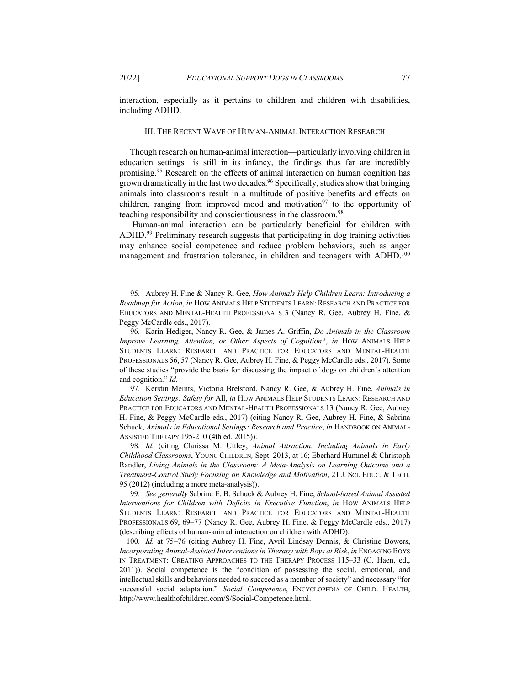interaction, especially as it pertains to children and children with disabilities, including ADHD.

#### III. THE RECENT WAVE OF HUMAN-ANIMAL INTERACTION RESEARCH

Though research on human-animal interaction—particularly involving children in education settings—is still in its infancy, the findings thus far are incredibly promising.95 Research on the effects of animal interaction on human cognition has grown dramatically in the last two decades.<sup>96</sup> Specifically, studies show that bringing animals into classrooms result in a multitude of positive benefits and effects on children, ranging from improved mood and motivation<sup>97</sup> to the opportunity of teaching responsibility and conscientiousness in the classroom.<sup>98</sup>

Human-animal interaction can be particularly beneficial for children with ADHD.<sup>99</sup> Preliminary research suggests that participating in dog training activities may enhance social competence and reduce problem behaviors, such as anger management and frustration tolerance, in children and teenagers with ADHD.<sup>100</sup>

97. Kerstin Meints, Victoria Brelsford, Nancy R. Gee, & Aubrey H. Fine, *Animals in Education Settings: Safety for* All, *in* HOW ANIMALS HELP STUDENTS LEARN: RESEARCH AND PRACTICE FOR EDUCATORS AND MENTAL-HEALTH PROFESSIONALS 13 (Nancy R. Gee, Aubrey H. Fine, & Peggy McCardle eds., 2017) (citing Nancy R. Gee, Aubrey H. Fine, & Sabrina Schuck, *Animals in Educational Settings: Research and Practice*, *in* HANDBOOK ON ANIMAL-ASSISTED THERAPY 195-210 (4th ed. 2015)).

98. *Id.* (citing Clarissa M. Uttley, *Animal Attraction: Including Animals in Early Childhood Classrooms*, YOUNG CHILDREN*,* Sept. 2013, at 16; Eberhard Hummel & Christoph Randler, *Living Animals in the Classroom: A Meta-Analysis on Learning Outcome and a Treatment-Control Study Focusing on Knowledge and Motivation*, 21 J. SCI. EDUC. & TECH. 95 (2012) (including a more meta-analysis)).

99. *See generally* Sabrina E. B. Schuck & Aubrey H. Fine, *School-based Animal Assisted Interventions for Children with Deficits in Executive Function*, *in* HOW ANIMALS HELP STUDENTS LEARN: RESEARCH AND PRACTICE FOR EDUCATORS AND MENTAL-HEALTH PROFESSIONALS 69, 69–77 (Nancy R. Gee, Aubrey H. Fine, & Peggy McCardle eds., 2017) (describing effects of human-animal interaction on children with ADHD).

100. *Id.* at 75–76 (citing Aubrey H. Fine, Avril Lindsay Dennis, & Christine Bowers, *Incorporating Animal-Assisted Interventions in Therapy with Boys at Risk*, *in* ENGAGING BOYS IN TREATMENT: CREATING APPROACHES TO THE THERAPY PROCESS 115–33 (C. Haen, ed., 2011)). Social competence is the "condition of possessing the social, emotional, and intellectual skills and behaviors needed to succeed as a member of society" and necessary "for successful social adaptation." *Social Competence*, ENCYCLOPEDIA OF CHILD. HEALTH, http://www.healthofchildren.com/S/Social-Competence.html.

<sup>95.</sup> Aubrey H. Fine & Nancy R. Gee, *How Animals Help Children Learn: Introducing a Roadmap for Action*, *in* HOW ANIMALS HELP STUDENTS LEARN: RESEARCH AND PRACTICE FOR EDUCATORS AND MENTAL-HEALTH PROFESSIONALS 3 (Nancy R. Gee, Aubrey H. Fine, & Peggy McCardle eds., 2017).

<sup>96.</sup> Karin Hediger, Nancy R. Gee, & James A. Griffin, *Do Animals in the Classroom Improve Learning, Attention, or Other Aspects of Cognition?, in How ANIMALS HELP* STUDENTS LEARN: RESEARCH AND PRACTICE FOR EDUCATORS AND MENTAL-HEALTH PROFESSIONALS 56, 57 (Nancy R. Gee, Aubrey H. Fine, & Peggy McCardle eds., 2017). Some of these studies "provide the basis for discussing the impact of dogs on children's attention and cognition." *Id.*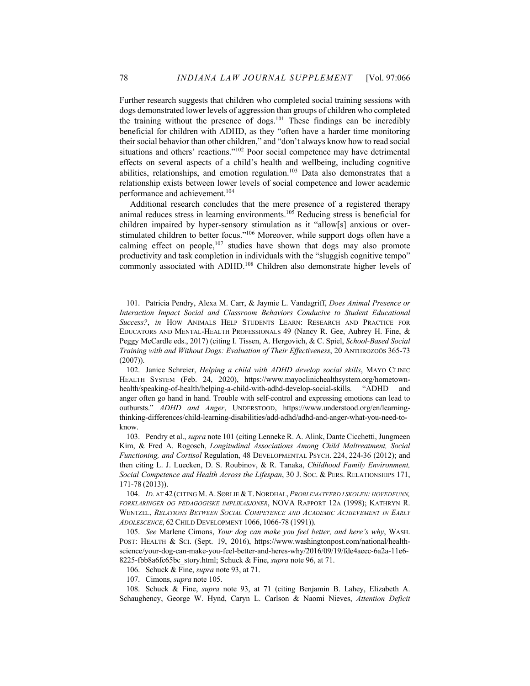Further research suggests that children who completed social training sessions with dogs demonstrated lower levels of aggression than groups of children who completed the training without the presence of dogs.<sup>101</sup> These findings can be incredibly beneficial for children with ADHD, as they "often have a harder time monitoring their social behavior than other children," and "don't always know how to read social situations and others' reactions."102 Poor social competence may have detrimental effects on several aspects of a child's health and wellbeing, including cognitive abilities, relationships, and emotion regulation.103 Data also demonstrates that a relationship exists between lower levels of social competence and lower academic performance and achievement.104

Additional research concludes that the mere presence of a registered therapy animal reduces stress in learning environments.105 Reducing stress is beneficial for children impaired by hyper-sensory stimulation as it "allow[s] anxious or overstimulated children to better focus."<sup>106</sup> Moreover, while support dogs often have a calming effect on people,  $107$  studies have shown that dogs may also promote productivity and task completion in individuals with the "sluggish cognitive tempo" commonly associated with ADHD.<sup>108</sup> Children also demonstrate higher levels of

102. Janice Schreier, *Helping a child with ADHD develop social skills*, MAYO CLINIC HEALTH SYSTEM (Feb. 24, 2020), https://www.mayoclinichealthsystem.org/hometownhealth/speaking-of-health/helping-a-child-with-adhd-develop-social-skills. "ADHD and anger often go hand in hand. Trouble with self-control and expressing emotions can lead to outbursts." *ADHD and Anger*, UNDERSTOOD, https://www.understood.org/en/learningthinking-differences/child-learning-disabilities/add-adhd/adhd-and-anger-what-you-need-toknow.

103. Pendry et al., *supra* note 101 (citing Lenneke R. A. Alink, Dante Cicchetti, Jungmeen Kim, & Fred A. Rogosch, *Longitudinal Associations Among Child Maltreatment, Social Functioning, and Cortisol* Regulation, 48 DEVELOPMENTAL PSYCH. 224, 224-36 (2012); and then citing L. J. Luecken, D. S. Roubinov, & R. Tanaka, *Childhood Family Environment, Social Competence and Health Across the Lifespan*, 30 J. SOC. & PERS. RELATIONSHIPS 171, 171-78 (2013)).

104. *ID.* AT 42 (CITING M. A. SØRLIE &T. NORDHAL,*PROBLEMATFERD I SKOLEN: HOVEDFUNN, FORKLARINGER OG PEDAGOGISKE IMPLIKASJONER*, NOVA RAPPORT 12A (1998); KATHRYN R. WENTZEL, *RELATIONS BETWEEN SOCIAL COMPETENCE AND ACADEMIC ACHIEVEMENT IN EARLY ADOLESCENCE*, 62 CHILD DEVELOPMENT 1066, 1066-78 (1991)).

105. *See* Marlene Cimons, *Your dog can make you feel better, and here's why*, WASH. POST: HEALTH & SCI. (Sept. 19, 2016), https://www.washingtonpost.com/national/healthscience/your-dog-can-make-you-feel-better-and-heres-why/2016/09/19/fde4aeec-6a2a-11e6- 8225-fbb8a6fc65bc\_story.html; Schuck & Fine, *supra* note 96, at 71.

106. Schuck & Fine, *supra* note 93, at 71.

107. Cimons, *supra* note 105.

108. Schuck & Fine, *supra* note 93, at 71 (citing Benjamin B. Lahey, Elizabeth A. Schaughency, George W. Hynd, Caryn L. Carlson & Naomi Nieves, *Attention Deficit* 

<sup>101.</sup> Patricia Pendry, Alexa M. Carr, & Jaymie L. Vandagriff, *Does Animal Presence or Interaction Impact Social and Classroom Behaviors Conducive to Student Educational Success?*, *in* HOW ANIMALS HELP STUDENTS LEARN: RESEARCH AND PRACTICE FOR EDUCATORS AND MENTAL-HEALTH PROFESSIONALS 49 (Nancy R. Gee, Aubrey H. Fine, & Peggy McCardle eds., 2017) (citing I. Tissen, A. Hergovich, & C. Spiel, *School-Based Social Training with and Without Dogs: Evaluation of Their Effectiveness*, 20 ANTHROZOÖS 365-73 (2007)).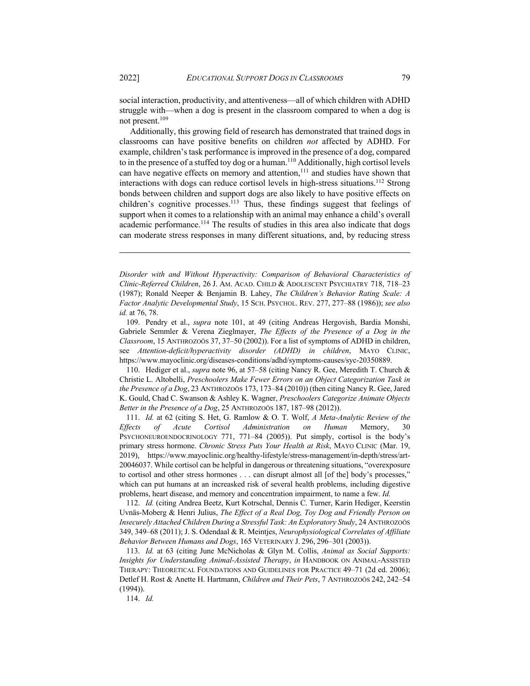social interaction, productivity, and attentiveness—all of which children with ADHD struggle with—when a dog is present in the classroom compared to when a dog is not present.109

Additionally, this growing field of research has demonstrated that trained dogs in classrooms can have positive benefits on children *not* affected by ADHD. For example, children's task performance is improved in the presence of a dog, compared to in the presence of a stuffed toy dog or a human.<sup>110</sup> Additionally, high cortisol levels can have negative effects on memory and attention, $111$  and studies have shown that interactions with dogs can reduce cortisol levels in high-stress situations.<sup>112</sup> Strong bonds between children and support dogs are also likely to have positive effects on children's cognitive processes.<sup>113</sup> Thus, these findings suggest that feelings of support when it comes to a relationship with an animal may enhance a child's overall academic performance.<sup>114</sup> The results of studies in this area also indicate that dogs can moderate stress responses in many different situations, and, by reducing stress

*Disorder with and Without Hyperactivity: Comparison of Behavioral Characteristics of Clinic-Referred Children*, 26 J. AM. ACAD. CHILD & ADOLESCENT PSYCHIATRY 718, 718–23 (1987); Ronald Neeper & Benjamin B. Lahey, *The Children's Behavior Rating Scale: A Factor Analytic Developmental Study*, 15 SCH. PSYCHOL. REV. 277, 277–88 (1986)); *see also id.* at 76, 78.

109. Pendry et al., *supra* note 101, at 49 (citing Andreas Hergovish, Bardia Monshi, Gabriele Semmler & Verena Zieglmayer, *The Effects of the Presence of a Dog in the Classroom*, 15 ANTHROZOÖS 37, 37–50 (2002)). For a list of symptoms of ADHD in children, see *Attention-deficit/hyperactivity disorder (ADHD) in children*, MAYO CLINIC, https://www.mayoclinic.org/diseases-conditions/adhd/symptoms-causes/syc-20350889.

110. Hediger et al., *supra* note 96, at 57–58 (citing Nancy R. Gee, Meredith T. Church & Christie L. Altobelli, *Preschoolers Make Fewer Errors on an Object Categorization Task in the Presence of a Dog*, 23 ANTHROZOÖS 173, 173–84 (2010)) (then citing Nancy R. Gee, Jared K. Gould, Chad C. Swanson & Ashley K. Wagner, *Preschoolers Categorize Animate Objects Better in the Presence of a Dog*, 25 ANTHROZOÖS 187, 187–98 (2012)).

111. *Id.* at 62 (citing S. Het, G. Ramlow & O. T. Wolf, *A Meta-Analytic Review of the Effects of Acute Cortisol Administration on Human* Memory, 30 PSYCHONEUROENDOCRINOLOGY 771, 771–84 (2005)). Put simply, cortisol is the body's primary stress hormone. *Chronic Stress Puts Your Health at Risk*, MAYO CLINIC (Mar. 19, 2019), https://www.mayoclinic.org/healthy-lifestyle/stress-management/in-depth/stress/art-20046037. While cortisol can be helpful in dangerous or threatening situations, "overexposure to cortisol and other stress hormones . . . can disrupt almost all [of the] body's processes," which can put humans at an increasked risk of several health problems, including digestive problems, heart disease, and memory and concentration impairment, to name a few. *Id.*

112. *Id.* (citing Andrea Beetz, Kurt Kotrschal, Dennis C. Turner, Karin Hediger, Keerstin Uvnäs-Moberg & Henri Julius, *The Effect of a Real Dog, Toy Dog and Friendly Person on Insecurely Attached Children During a Stressful Task: An Exploratory Study*, 24 ANTHROZOÖS 349, 349–68 (2011); J. S. Odendaal & R. Meintjes, *Neurophysiological Correlates of Affiliate Behavior Between Humans and Dogs*, 165 VETERINARY J. 296, 296–301 (2003)).

113. *Id.* at 63 (citing June McNicholas & Glyn M. Collis, *Animal as Social Supports: Insights for Understanding Animal-Assisted Therapy*, *in* HANDBOOK ON ANIMAL-ASSISTED THERAPY: THEORETICAL FOUNDATIONS AND GUIDELINES FOR PRACTICE 49–71 (2d ed. 2006); Detlef H. Rost & Anette H. Hartmann, *Children and Their Pets*, 7 ANTHROZOÖS 242, 242–54 (1994)).

114. *Id.*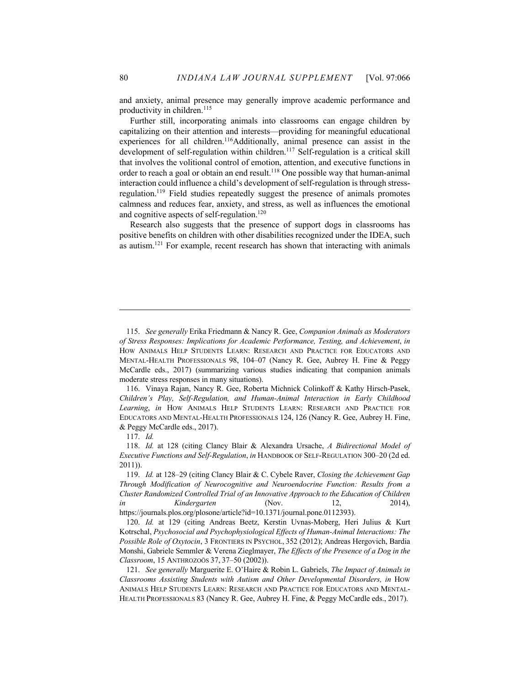and anxiety, animal presence may generally improve academic performance and productivity in children.<sup>115</sup>

Further still, incorporating animals into classrooms can engage children by capitalizing on their attention and interests—providing for meaningful educational experiences for all children.<sup>116</sup>Additionally, animal presence can assist in the development of self-regulation within children.<sup>117</sup> Self-regulation is a critical skill that involves the volitional control of emotion, attention, and executive functions in order to reach a goal or obtain an end result.<sup>118</sup> One possible way that human-animal interaction could influence a child's development of self-regulation is through stressregulation.119 Field studies repeatedly suggest the presence of animals promotes calmness and reduces fear, anxiety, and stress, as well as influences the emotional and cognitive aspects of self-regulation.<sup>120</sup>

Research also suggests that the presence of support dogs in classrooms has positive benefits on children with other disabilities recognized under the IDEA, such as autism.121 For example, recent research has shown that interacting with animals

<sup>115.</sup> *See generally* Erika Friedmann & Nancy R. Gee, *Companion Animals as Moderators of Stress Responses: Implications for Academic Performance, Testing, and Achievement*, *in*  HOW ANIMALS HELP STUDENTS LEARN: RESEARCH AND PRACTICE FOR EDUCATORS AND MENTAL-HEALTH PROFESSIONALS 98, 104–07 (Nancy R. Gee, Aubrey H. Fine & Peggy McCardle eds., 2017) (summarizing various studies indicating that companion animals moderate stress responses in many situations).

<sup>116.</sup> Vinaya Rajan, Nancy R. Gee, Roberta Michnick Colinkoff & Kathy Hirsch-Pasek, *Children's Play, Self-Regulation, and Human-Animal Interaction in Early Childhood Learning*, *in* HOW ANIMALS HELP STUDENTS LEARN: RESEARCH AND PRACTICE FOR EDUCATORS AND MENTAL-HEALTH PROFESSIONALS 124, 126 (Nancy R. Gee, Aubrey H. Fine, & Peggy McCardle eds., 2017).

<sup>117.</sup> *Id.*

<sup>118.</sup> *Id.* at 128 (citing Clancy Blair & Alexandra Ursache, *A Bidirectional Model of Executive Functions and Self-Regulation*, *in* HANDBOOK OF SELF-REGULATION 300–20 (2d ed. 2011)).

<sup>119.</sup> *Id.* at 128–29 (citing Clancy Blair & C. Cybele Raver, *Closing the Achievement Gap Through Modification of Neurocognitive and Neuroendocrine Function: Results from a Cluster Randomized Controlled Trial of an Innovative Approach to the Education of Children in Kindergarten* (Nov. 12, 2014), https://journals.plos.org/plosone/article?id=10.1371/journal.pone.0112393).

<sup>120.</sup> *Id.* at 129 (citing Andreas Beetz, Kerstin Uvnas-Moberg, Heri Julius & Kurt Kotrschal, *Psychosocial and Psychophysiological Effects of Human-Animal Interactions: The Possible Role of Oxytocin*, 3 FRONTIERS IN PSYCHOL, 352 (2012); Andreas Hergovich, Bardia Monshi, Gabriele Semmler & Verena Zieglmayer, *The Effects of the Presence of a Dog in the Classroom*, 15 ANTHROZOÖS 37, 37–50 (2002)).

<sup>121.</sup> *See generally* Marguerite E. O'Haire & Robin L. Gabriels, *The Impact of Animals in Classrooms Assisting Students with Autism and Other Developmental Disorders, in* HOW ANIMALS HELP STUDENTS LEARN: RESEARCH AND PRACTICE FOR EDUCATORS AND MENTAL-HEALTH PROFESSIONALS 83 (Nancy R. Gee, Aubrey H. Fine, & Peggy McCardle eds., 2017).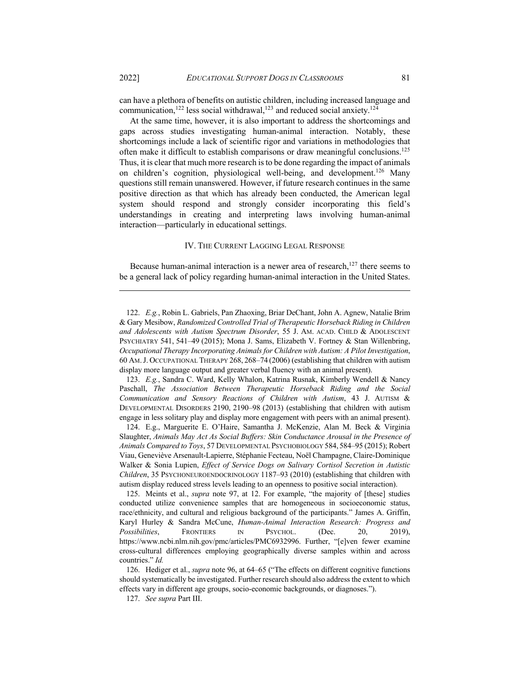can have a plethora of benefits on autistic children, including increased language and communication,<sup>122</sup> less social withdrawal,<sup>123</sup> and reduced social anxiety.<sup>124</sup>

At the same time, however, it is also important to address the shortcomings and gaps across studies investigating human-animal interaction. Notably, these shortcomings include a lack of scientific rigor and variations in methodologies that often make it difficult to establish comparisons or draw meaningful conclusions.125 Thus, it is clear that much more research is to be done regarding the impact of animals on children's cognition, physiological well-being, and development.<sup>126</sup> Many questions still remain unanswered. However, if future research continues in the same positive direction as that which has already been conducted, the American legal system should respond and strongly consider incorporating this field's understandings in creating and interpreting laws involving human-animal interaction—particularly in educational settings.

### IV. THE CURRENT LAGGING LEGAL RESPONSE

Because human-animal interaction is a newer area of research, $127$  there seems to be a general lack of policy regarding human-animal interaction in the United States.

123. *E.g.*, Sandra C. Ward, Kelly Whalon, Katrina Rusnak, Kimberly Wendell & Nancy Paschall, *The Association Between Therapeutic Horseback Riding and the Social Communication and Sensory Reactions of Children with Autism*, 43 J. AUTISM & DEVELOPMENTAL DISORDERS 2190, 2190–98 (2013) (establishing that children with autism engage in less solitary play and display more engagement with peers with an animal present).

124. E.g., Marguerite E. O'Haire, Samantha J. McKenzie, Alan M. Beck & Virginia Slaughter, *Animals May Act As Social Buffers: Skin Conductance Arousal in the Presence of Animals Compared to Toys*, 57 DEVELOPMENTAL PSYCHOBIOLOGY 584, 584–95 (2015); Robert Viau, Geneviève Arsenault-Lapierre, Stéphanie Fecteau, Noël Champagne, Claire-Dominique Walker & Sonia Lupien, *Effect of Service Dogs on Salivary Cortisol Secretion in Autistic Children*, 35 PSYCHONEUROENDOCRINOLOGY 1187–93 (2010) (establishing that children with autism display reduced stress levels leading to an openness to positive social interaction).

125. Meints et al., *supra* note 97, at 12. For example, "the majority of [these] studies conducted utilize convenience samples that are homogeneous in socioeconomic status, race/ethnicity, and cultural and religious background of the participants." James A. Griffin, Karyl Hurley & Sandra McCune, *Human-Animal Interaction Research: Progress and Possibilities*, FRONTIERS IN PSYCHOL. (Dec. 20, 2019), https://www.ncbi.nlm.nih.gov/pmc/articles/PMC6932996. Further, "[e]ven fewer examine cross-cultural differences employing geographically diverse samples within and across countries." *Id.* 

126. Hediger et al., *supra* note 96, at 64–65 ("The effects on different cognitive functions should systematically be investigated. Further research should also address the extent to which effects vary in different age groups, socio-economic backgrounds, or diagnoses.").

127. *See supra* Part III.

<sup>122.</sup> *E.g.*, Robin L. Gabriels, Pan Zhaoxing, Briar DeChant, John A. Agnew, Natalie Brim & Gary Mesibow, *Randomized Controlled Trial of Therapeutic Horseback Riding in Children and Adolescents with Autism Spectrum Disorder*, 55 J. AM. ACAD. CHILD & ADOLESCENT PSYCHIATRY 541, 541–49 (2015); Mona J. Sams, Elizabeth V. Fortney & Stan Willenbring, *Occupational Therapy Incorporating Animals for Children with Autism: A Pilot Investigation*, 60 AM.J. OCCUPATIONAL THERAPY 268, 268–74 (2006) (establishing that children with autism display more language output and greater verbal fluency with an animal present).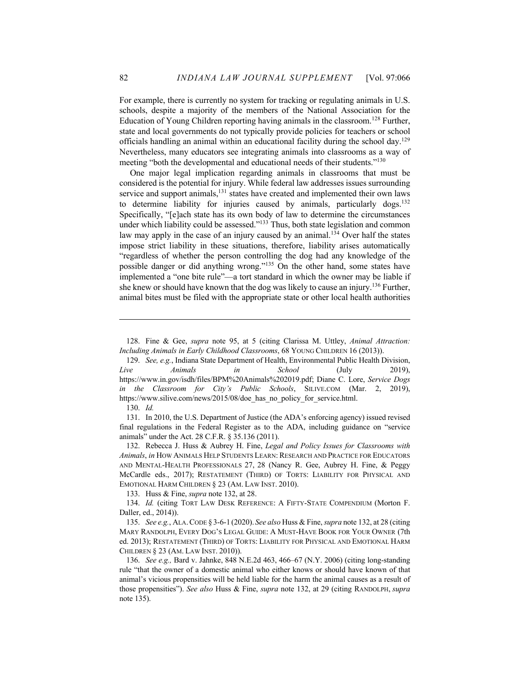For example, there is currently no system for tracking or regulating animals in U.S. schools, despite a majority of the members of the National Association for the Education of Young Children reporting having animals in the classroom.<sup>128</sup> Further, state and local governments do not typically provide policies for teachers or school officials handling an animal within an educational facility during the school day.129 Nevertheless, many educators see integrating animals into classrooms as a way of meeting "both the developmental and educational needs of their students."<sup>130</sup>

One major legal implication regarding animals in classrooms that must be considered is the potential for injury. While federal law addresses issues surrounding service and support animals, $131$  states have created and implemented their own laws to determine liability for injuries caused by animals, particularly dogs.<sup>132</sup> Specifically, "[e]ach state has its own body of law to determine the circumstances under which liability could be assessed."<sup>133</sup> Thus, both state legislation and common law may apply in the case of an injury caused by an animal.<sup>134</sup> Over half the states impose strict liability in these situations, therefore, liability arises automatically "regardless of whether the person controlling the dog had any knowledge of the possible danger or did anything wrong."<sup>135</sup> On the other hand, some states have implemented a "one bite rule"—a tort standard in which the owner may be liable if she knew or should have known that the dog was likely to cause an injury.<sup>136</sup> Further, animal bites must be filed with the appropriate state or other local health authorities

133. Huss & Fine, *supra* note 132, at 28.

<sup>128.</sup> Fine & Gee, *supra* note 95, at 5 (citing Clarissa M. Uttley, *Animal Attraction: Including Animals in Early Childhood Classrooms*, 68 YOUNG CHILDREN 16 (2013)).

<sup>129.</sup> *See, e.g.*, Indiana State Department of Health, Environmental Public Health Division, *Live Animals in School* (July 2019), https://www.in.gov/isdh/files/BPM%20Animals%202019.pdf; Diane C. Lore, *Service Dogs in the Classroom for City's Public Schools*, SILIVE.COM (Mar. 2, 2019), https://www.silive.com/news/2015/08/doe has no policy for service.html. 130. *Id.*

<sup>131.</sup> In 2010, the U.S. Department of Justice (the ADA's enforcing agency) issued revised final regulations in the Federal Register as to the ADA, including guidance on "service animals" under the Act. 28 C.F.R. § 35.136 (2011).

<sup>132.</sup> Rebecca J. Huss & Aubrey H. Fine, *Legal and Policy Issues for Classrooms with Animals*, *in* HOW ANIMALS HELP STUDENTS LEARN: RESEARCH AND PRACTICE FOR EDUCATORS AND MENTAL-HEALTH PROFESSIONALS 27, 28 (Nancy R. Gee, Aubrey H. Fine, & Peggy McCardle eds., 2017); RESTATEMENT (THIRD) OF TORTS: LIABILITY FOR PHYSICAL AND EMOTIONAL HARM CHILDREN § 23 (AM. LAW INST. 2010).

<sup>134.</sup> *Id.* (citing TORT LAW DESK REFERENCE: A FIFTY-STATE COMPENDIUM (Morton F. Daller, ed., 2014)).

<sup>135.</sup> *See e.g.*, ALA.CODE § 3-6-1 (2020). *See also* Huss & Fine, *supra* note 132, at 28 (citing MARY RANDOLPH, EVERY DOG'S LEGAL GUIDE: A MUST-HAVE BOOK FOR YOUR OWNER (7th ed. 2013); RESTATEMENT (THIRD) OF TORTS: LIABILITY FOR PHYSICAL AND EMOTIONAL HARM CHILDREN § 23 (AM. LAW INST. 2010)).

<sup>136.</sup> *See e.g.,* Bard v. Jahnke, 848 N.E.2d 463, 466–67 (N.Y. 2006) (citing long-standing rule "that the owner of a domestic animal who either knows or should have known of that animal's vicious propensities will be held liable for the harm the animal causes as a result of those propensities"). *See also* Huss & Fine, *supra* note 132, at 29 (citing RANDOLPH, *supra*  note 135).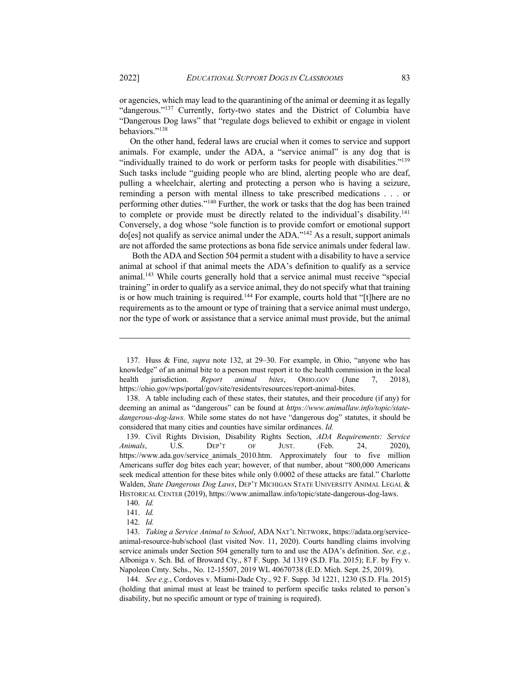or agencies, which may lead to the quarantining of the animal or deeming it as legally "dangerous."<sup>137</sup> Currently, forty-two states and the District of Columbia have "Dangerous Dog laws" that "regulate dogs believed to exhibit or engage in violent behaviors."138

On the other hand, federal laws are crucial when it comes to service and support animals. For example, under the ADA, a "service animal" is any dog that is "individually trained to do work or perform tasks for people with disabilities."139 Such tasks include "guiding people who are blind, alerting people who are deaf, pulling a wheelchair, alerting and protecting a person who is having a seizure, reminding a person with mental illness to take prescribed medications . . . or performing other duties."140 Further, the work or tasks that the dog has been trained to complete or provide must be directly related to the individual's disability.141 Conversely, a dog whose "sole function is to provide comfort or emotional support do[es] not qualify as service animal under the ADA."142 As a result, support animals are not afforded the same protections as bona fide service animals under federal law.

Both the ADA and Section 504 permit a student with a disability to have a service animal at school if that animal meets the ADA's definition to qualify as a service animal.<sup>143</sup> While courts generally hold that a service animal must receive "special" training" in order to qualify as a service animal, they do not specify what that training is or how much training is required.<sup>144</sup> For example, courts hold that "[t]here are no requirements as to the amount or type of training that a service animal must undergo, nor the type of work or assistance that a service animal must provide, but the animal

138. A table including each of these states, their statutes, and their procedure (if any) for deeming an animal as "dangerous" can be found at *https://www.animallaw.info/topic/statedangerous-dog-laws.* While some states do not have "dangerous dog" statutes, it should be considered that many cities and counties have similar ordinances. *Id.*

139. Civil Rights Division, Disability Rights Section, *ADA Requirements: Service Animals*, U.S. DEP'T OF JUST. (Feb. 24, 2020), https://www.ada.gov/service\_animals\_2010.htm. Approximately four to five million Americans suffer dog bites each year; however, of that number, about "800,000 Americans seek medical attention for these bites while only 0.0002 of these attacks are fatal." Charlotte Walden, *State Dangerous Dog Laws*, DEP'T MICHIGAN STATE UNIVERSITY ANIMAL LEGAL & HISTORICAL CENTER (2019), https://www.animallaw.info/topic/state-dangerous-dog-laws.

144. *See e.g.*, Cordoves v. Miami-Dade Cty., 92 F. Supp. 3d 1221, 1230 (S.D. Fla. 2015) (holding that animal must at least be trained to perform specific tasks related to person's disability, but no specific amount or type of training is required).

<sup>137.</sup> Huss & Fine, *supra* note 132, at 29–30. For example, in Ohio, "anyone who has knowledge" of an animal bite to a person must report it to the health commission in the local health jurisdiction. *Report animal bites*, OHIO.GOV (June 7, 2018), https://ohio.gov/wps/portal/gov/site/residents/resources/report-animal-bites.

<sup>140.</sup> *Id.*

<sup>141.</sup> *Id.* 

<sup>142.</sup> *Id.*

<sup>143.</sup> *Taking a Service Animal to School*, ADA NAT'L NETWORK, https://adata.org/serviceanimal-resource-hub/school (last visited Nov. 11, 2020). Courts handling claims involving service animals under Section 504 generally turn to and use the ADA's definition. *See, e.g.*, Alboniga v. Sch. Bd. of Broward Cty., 87 F. Supp. 3d 1319 (S.D. Fla. 2015); E.F. by Fry v. Napoleon Cmty. Schs., No. 12-15507, 2019 WL 40670738 (E.D. Mich. Sept. 25, 2019).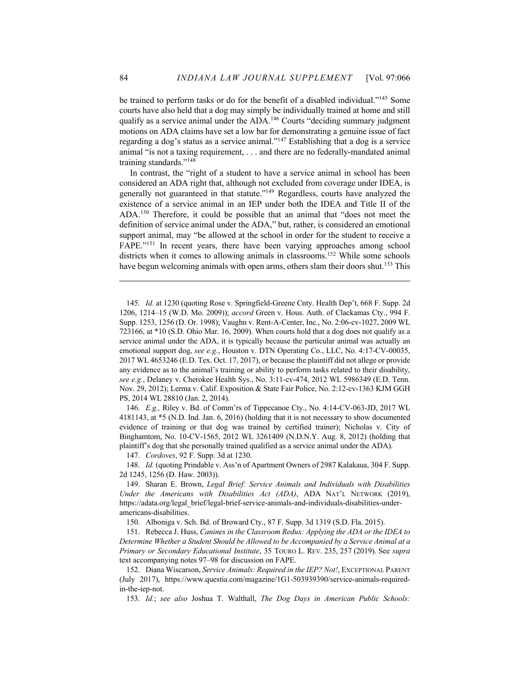be trained to perform tasks or do for the benefit of a disabled individual."145 Some courts have also held that a dog may simply be individually trained at home and still qualify as a service animal under the ADA.<sup>146</sup> Courts "deciding summary judgment motions on ADA claims have set a low bar for demonstrating a genuine issue of fact regarding a dog's status as a service animal."147 Establishing that a dog is a service animal "is not a taxing requirement, . . . and there are no federally-mandated animal training standards."148

In contrast, the "right of a student to have a service animal in school has been considered an ADA right that, although not excluded from coverage under IDEA, is generally not guaranteed in that statute."<sup>149</sup> Regardless, courts have analyzed the existence of a service animal in an IEP under both the IDEA and Title II of the ADA.150 Therefore, it could be possible that an animal that "does not meet the definition of service animal under the ADA," but, rather, is considered an emotional support animal, may "be allowed at the school in order for the student to receive a FAPE."151 In recent years, there have been varying approaches among school districts when it comes to allowing animals in classrooms.<sup>152</sup> While some schools have begun welcoming animals with open arms, others slam their doors shut.<sup>153</sup> This

146. *E.g.,* Riley v. Bd. of Comm'rs of Tippecanoe Cty., No. 4:14-CV-063-JD, 2017 WL 4181143, at \*5 (N.D. Ind. Jan. 6, 2016) (holding that it is not necessary to show documented evidence of training or that dog was trained by certified trainer); Nicholas v. City of Binghamtom, No. 10-CV-1565, 2012 WL 3261409 (N.D.N.Y. Aug. 8, 2012) (holding that plaintiff's dog that she personally trained qualified as a service animal under the ADA).

147. *Cordoves*, 92 F. Supp. 3d at 1230.

148. *Id.* (quoting Prindable v. Ass'n of Apartment Owners of 2987 Kalakaua, 304 F. Supp. 2d 1245, 1256 (D. Haw. 2003)).

150. Alboniga v. Sch. Bd. of Broward Cty., 87 F. Supp. 3d 1319 (S.D. Fla. 2015).

151. Rebecca J. Huss, *Canines in the Classroom Redux: Applying the ADA or the IDEA to Determine Whether a Student Should be Allowed to be Accompanied by a Service Animal at a Primary or Secondary Educational Institute*, 35 TOURO L. REV. 235, 257 (2019). See *supra*  text accompanying notes 97–98 for discussion on FAPE.

152. Diana Wiscarson, *Service Animals: Required in the IEP? Not!*, EXCEPTIONAL PARENT (July 2017), https://www.questia.com/magazine/1G1-503939390/service-animals-requiredin-the-iep-not.

153. *Id.*; *see also* Joshua T. Walthall, *The Dog Days in American Public Schools:* 

<sup>145.</sup> *Id.* at 1230 (quoting Rose v. Springfield-Greene Cnty. Health Dep't, 668 F. Supp. 2d 1206, 1214–15 (W.D. Mo. 2009)); *accord* Green v. Hous. Auth. of Clackamas Cty., 994 F. Supp. 1253, 1256 (D. Or. 1998); Vaughn v. Rent-A-Center, Inc., No. 2:06-cv-1027, 2009 WL 723166, at \*10 (S.D. Ohio Mar. 16, 2009). When courts hold that a dog does not qualify as a service animal under the ADA, it is typically because the particular animal was actually an emotional support dog, *see e.g.*, Houston v. DTN Operating Co., LLC, No. 4:17-CV-00035, 2017 WL 4653246 (E.D. Tex. Oct. 17, 2017), or because the plaintiff did not allege or provide any evidence as to the animal's training or ability to perform tasks related to their disability, *see e.g.*, Delaney v. Cherokee Health Sys., No. 3:11-cv-474, 2012 WL 5986349 (E.D. Tenn. Nov. 29, 2012); Lerma v. Calif. Exposition & State Fair Police, No. 2:12-cv-1363 KJM GGH PS, 2014 WL 28810 (Jan. 2, 2014).

<sup>149.</sup> Sharan E. Brown, *Legal Brief: Service Animals and Individuals with Disabilities Under the Americans with Disabilities Act (ADA)*, ADA NAT'L NETWORK (2019), https://adata.org/legal\_brief/legal-brief-service-animals-and-individuals-disabilities-underamericans-disabilities.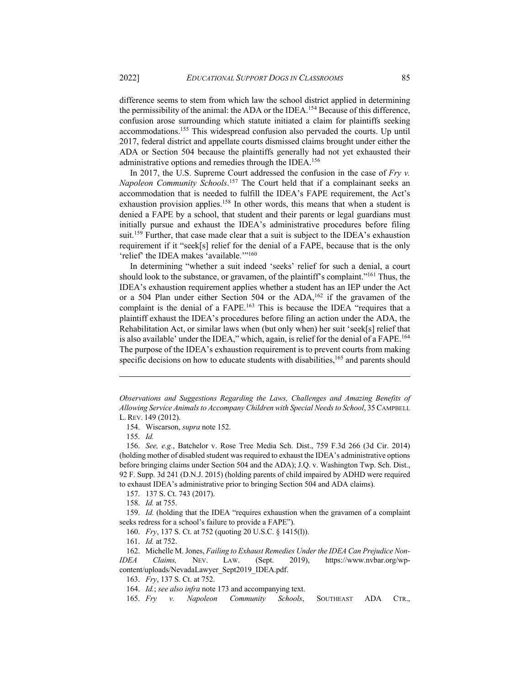difference seems to stem from which law the school district applied in determining the permissibility of the animal: the ADA or the IDEA.<sup>154</sup> Because of this difference, confusion arose surrounding which statute initiated a claim for plaintiffs seeking accommodations. <sup>155</sup> This widespread confusion also pervaded the courts. Up until 2017, federal district and appellate courts dismissed claims brought under either the ADA or Section 504 because the plaintiffs generally had not yet exhausted their administrative options and remedies through the IDEA.<sup>156</sup>

In 2017, the U.S. Supreme Court addressed the confusion in the case of *Fry v. Napoleon Community Schools*. <sup>157</sup> The Court held that if a complainant seeks an accommodation that is needed to fulfill the IDEA's FAPE requirement, the Act's exhaustion provision applies.<sup>158</sup> In other words, this means that when a student is denied a FAPE by a school, that student and their parents or legal guardians must initially pursue and exhaust the IDEA's administrative procedures before filing suit.<sup>159</sup> Further, that case made clear that a suit is subject to the IDEA's exhaustion requirement if it "seek[s] relief for the denial of a FAPE, because that is the only 'relief' the IDEA makes 'available.'"<sup>160</sup>

In determining "whether a suit indeed 'seeks' relief for such a denial, a court should look to the substance, or gravamen, of the plaintiff's complaint."<sup>161</sup> Thus, the IDEA's exhaustion requirement applies whether a student has an IEP under the Act or a 504 Plan under either Section 504 or the ADA, $162$  if the gravamen of the complaint is the denial of a FAPE.<sup>163</sup> This is because the IDEA "requires that a plaintiff exhaust the IDEA's procedures before filing an action under the ADA, the Rehabilitation Act, or similar laws when (but only when) her suit 'seek[s] relief that is also available' under the IDEA," which, again, is relief for the denial of a FAPE.<sup>164</sup> The purpose of the IDEA's exhaustion requirement is to prevent courts from making specific decisions on how to educate students with disabilities,<sup>165</sup> and parents should

154. Wiscarson, *supra* note 152.

155. *Id.*

159. *Id.* (holding that the IDEA "requires exhaustion when the gravamen of a complaint seeks redress for a school's failure to provide a FAPE").

*IDEA Claims,* NEV. LAW. (Sept. 2019), https://www.nvbar.org/wpcontent/uploads/NevadaLawyer\_Sept2019\_IDEA.pdf.

163. *Fry*, 137 S. Ct. at 752.

*Observations and Suggestions Regarding the Laws, Challenges and Amazing Benefits of Allowing Service Animals to Accompany Children with Special Needs to School*, 35 CAMPBELL L. REV. 149 (2012).

<sup>156.</sup> *See, e.g.*, Batchelor v. Rose Tree Media Sch. Dist., 759 F.3d 266 (3d Cir. 2014) (holding mother of disabled student was required to exhaust the IDEA's administrative options before bringing claims under Section 504 and the ADA); J.Q. v. Washington Twp. Sch. Dist., 92 F. Supp. 3d 241 (D.N.J. 2015) (holding parents of child impaired by ADHD were required to exhaust IDEA's administrative prior to bringing Section 504 and ADA claims).

<sup>157.</sup> 137 S. Ct. 743 (2017).

<sup>158.</sup> *Id.* at 755.

<sup>160.</sup> *Fry*, 137 S. Ct. at 752 (quoting 20 U.S.C. § 1415(l)).

<sup>161.</sup> *Id.* at 752.

<sup>162.</sup> Michelle M. Jones, *Failing to Exhaust Remedies Under the IDEA Can Prejudice Non-*

<sup>164.</sup> *Id.*; *see also infra* note 173 and accompanying text.

<sup>165.</sup> *Fry v. Napoleon Community Schools*, SOUTHEAST ADA CTR.,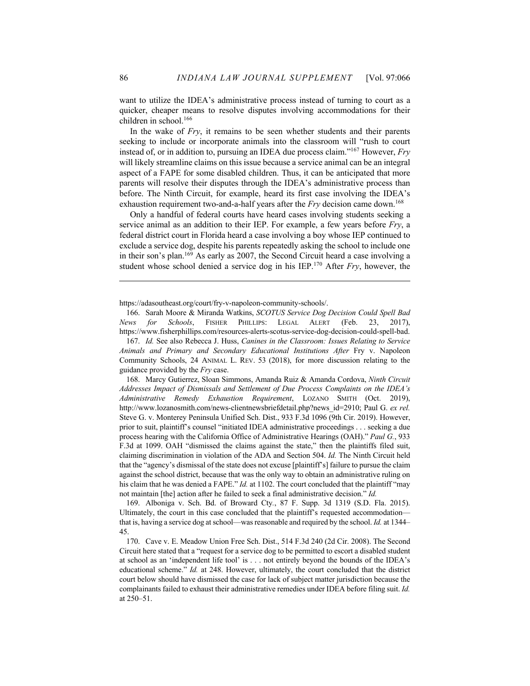want to utilize the IDEA's administrative process instead of turning to court as a quicker, cheaper means to resolve disputes involving accommodations for their children in school.166

In the wake of *Fry*, it remains to be seen whether students and their parents seeking to include or incorporate animals into the classroom will "rush to court instead of, or in addition to, pursuing an IDEA due process claim."167 However, *Fry* will likely streamline claims on this issue because a service animal can be an integral aspect of a FAPE for some disabled children. Thus, it can be anticipated that more parents will resolve their disputes through the IDEA's administrative process than before. The Ninth Circuit, for example, heard its first case involving the IDEA's exhaustion requirement two-and-a-half years after the *Fry* decision came down.<sup>168</sup>

Only a handful of federal courts have heard cases involving students seeking a service animal as an addition to their IEP. For example, a few years before *Fry*, a federal district court in Florida heard a case involving a boy whose IEP continued to exclude a service dog, despite his parents repeatedly asking the school to include one in their son's plan.<sup>169</sup> As early as 2007, the Second Circuit heard a case involving a student whose school denied a service dog in his IEP.170 After *Fry*, however, the

https://adasoutheast.org/court/fry-v-napoleon-community-schools/.

169. Alboniga v. Sch. Bd. of Broward Cty*.*, 87 F. Supp. 3d 1319 (S.D. Fla. 2015). Ultimately, the court in this case concluded that the plaintiff's requested accommodation that is, having a service dog at school—was reasonable and required by the school. *Id.* at 1344– 45.

170. Cave v. E. Meadow Union Free Sch. Dist., 514 F.3d 240 (2d Cir. 2008). The Second Circuit here stated that a "request for a service dog to be permitted to escort a disabled student at school as an 'independent life tool' is . . . not entirely beyond the bounds of the IDEA's educational scheme." *Id.* at 248. However, ultimately, the court concluded that the district court below should have dismissed the case for lack of subject matter jurisdiction because the complainants failed to exhaust their administrative remedies under IDEA before filing suit. *Id.*  at 250–51.

<sup>166.</sup> Sarah Moore & Miranda Watkins, *SCOTUS Service Dog Decision Could Spell Bad News for Schools*, FISHER PHILLIPS: LEGAL ALERT (Feb. 23, 2017), https://www.fisherphillips.com/resources-alerts-scotus-service-dog-decision-could-spell-bad.

<sup>167.</sup> *Id.* See also Rebecca J. Huss, *Canines in the Classroom: Issues Relating to Service Animals and Primary and Secondary Educational Institutions After* Fry v. Napoleon Community Schools, 24 ANIMAL L. REV. 53 (2018), for more discussion relating to the guidance provided by the *Fry* case.

<sup>168.</sup> Marcy Gutierrez, Sloan Simmons, Amanda Ruiz & Amanda Cordova, *Ninth Circuit Addresses Impact of Dismissals and Settlement of Due Process Complaints on the IDEA's Administrative Remedy Exhaustion Requirement*, LOZANO SMITH (Oct. 2019), http://www.lozanosmith.com/news-clientnewsbriefdetail.php?news\_id=2910; Paul G. *ex rel.*  Steve G. v. Monterey Peninsula Unified Sch. Dist., 933 F.3d 1096 (9th Cir. 2019). However, prior to suit, plaintiff's counsel "initiated IDEA administrative proceedings . . . seeking a due process hearing with the California Office of Administrative Hearings (OAH)." *Paul G.*, 933 F.3d at 1099. OAH "dismissed the claims against the state," then the plaintiffs filed suit, claiming discrimination in violation of the ADA and Section 504. *Id.* The Ninth Circuit held that the "agency's dismissal of the state does not excuse [plaintiff's] failure to pursue the claim against the school district, because that was the only way to obtain an administrative ruling on his claim that he was denied a FAPE." *Id.* at 1102. The court concluded that the plaintiff "may not maintain [the] action after he failed to seek a final administrative decision." *Id.*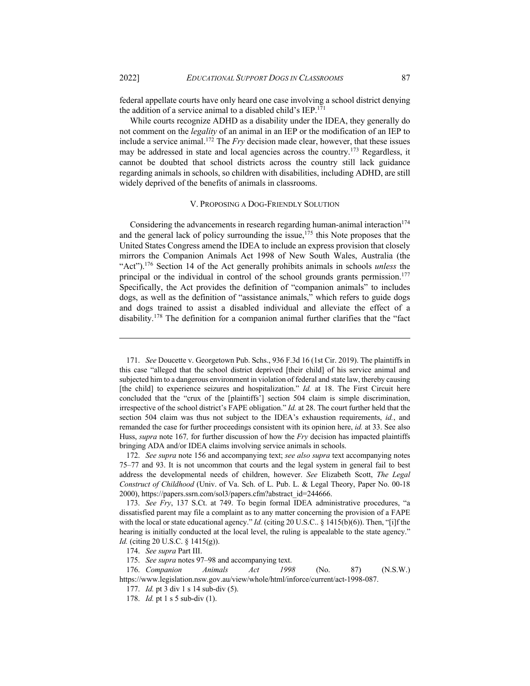federal appellate courts have only heard one case involving a school district denying the addition of a service animal to a disabled child's  $IEP<sup>.171</sup>$ 

While courts recognize ADHD as a disability under the IDEA, they generally do not comment on the *legality* of an animal in an IEP or the modification of an IEP to include a service animal.<sup>172</sup> The  $Fry$  decision made clear, however, that these issues may be addressed in state and local agencies across the country.<sup>173</sup> Regardless, it cannot be doubted that school districts across the country still lack guidance regarding animals in schools, so children with disabilities, including ADHD, are still widely deprived of the benefits of animals in classrooms.

### V. PROPOSING A DOG-FRIENDLY SOLUTION

Considering the advancements in research regarding human-animal interaction $174$ and the general lack of policy surrounding the issue,<sup>175</sup> this Note proposes that the United States Congress amend the IDEA to include an express provision that closely mirrors the Companion Animals Act 1998 of New South Wales, Australia (the "Act").176 Section 14 of the Act generally prohibits animals in schools *unless* the principal or the individual in control of the school grounds grants permission.177 Specifically, the Act provides the definition of "companion animals" to includes dogs, as well as the definition of "assistance animals," which refers to guide dogs and dogs trained to assist a disabled individual and alleviate the effect of a disability.178 The definition for a companion animal further clarifies that the "fact

<sup>171.</sup> *See* Doucette v. Georgetown Pub. Schs., 936 F.3d 16 (1st Cir. 2019). The plaintiffs in this case "alleged that the school district deprived [their child] of his service animal and subjected him to a dangerous environment in violation of federal and state law, thereby causing [the child] to experience seizures and hospitalization." *Id.* at 18. The First Circuit here concluded that the "crux of the [plaintiffs'] section 504 claim is simple discrimination, irrespective of the school district's FAPE obligation." *Id.* at 28. The court further held that the section 504 claim was thus not subject to the IDEA's exhaustion requirements, *id.*, and remanded the case for further proceedings consistent with its opinion here, *id.* at 33. See also Huss, *supra* note 167*,* for further discussion of how the *Fry* decision has impacted plaintiffs bringing ADA and/or IDEA claims involving service animals in schools.

<sup>172.</sup> *See supra* note 156 and accompanying text; *see also supra* text accompanying notes 75–77 and 93. It is not uncommon that courts and the legal system in general fail to best address the developmental needs of children, however. *See* Elizabeth Scott, *The Legal Construct of Childhood* (Univ. of Va. Sch. of L. Pub. L. & Legal Theory, Paper No. 00-18 2000), https://papers.ssrn.com/sol3/papers.cfm?abstract\_id=244666.

<sup>173.</sup> *See Fry*, 137 S.Ct. at 749. To begin formal IDEA administrative procedures, "a dissatisfied parent may file a complaint as to any matter concerning the provision of a FAPE with the local or state educational agency." *Id.* (citing 20 U.S.C.. § 1415(b)(6)). Then, "[i]f the hearing is initially conducted at the local level, the ruling is appealable to the state agency." *Id.* (citing 20 U.S.C. § 1415(g)).

<sup>174.</sup> *See supra* Part III.

<sup>175.</sup> *See supra* notes 97–98 and accompanying text.

<sup>176.</sup> *Companion Animals Act 1998* (No. 87) (N.S.W.) https://www.legislation.nsw.gov.au/view/whole/html/inforce/current/act-1998-087.

<sup>177.</sup> *Id.* pt 3 div 1 s 14 sub-div (5).

<sup>178.</sup> *Id.* pt 1 s 5 sub-div (1).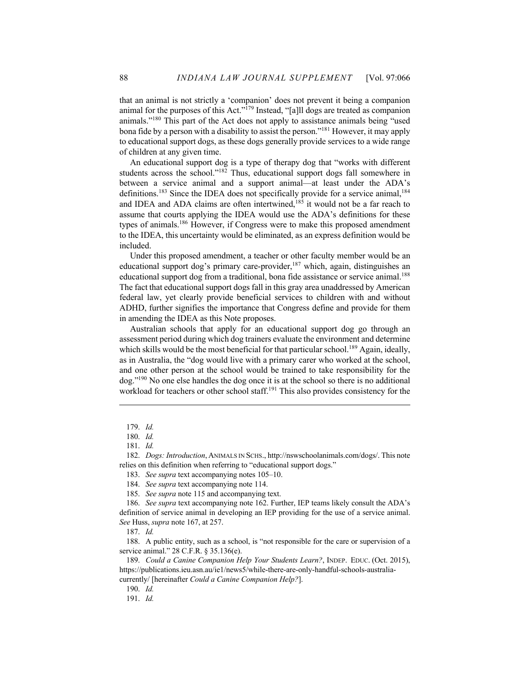that an animal is not strictly a 'companion' does not prevent it being a companion animal for the purposes of this Act."<sup>179</sup> Instead, "[a]ll dogs are treated as companion animals."180 This part of the Act does not apply to assistance animals being "used bona fide by a person with a disability to assist the person."<sup>181</sup> However, it may apply to educational support dogs, as these dogs generally provide services to a wide range of children at any given time.

An educational support dog is a type of therapy dog that "works with different students across the school."182 Thus, educational support dogs fall somewhere in between a service animal and a support animal—at least under the ADA's definitions.<sup>183</sup> Since the IDEA does not specifically provide for a service animal,<sup>184</sup> and IDEA and ADA claims are often intertwined, $185$  it would not be a far reach to assume that courts applying the IDEA would use the ADA's definitions for these types of animals.<sup>186</sup> However, if Congress were to make this proposed amendment to the IDEA, this uncertainty would be eliminated, as an express definition would be included.

Under this proposed amendment, a teacher or other faculty member would be an educational support dog's primary care-provider, $187$  which, again, distinguishes an educational support dog from a traditional, bona fide assistance or service animal.<sup>188</sup> The fact that educational support dogs fall in this gray area unaddressed by American federal law, yet clearly provide beneficial services to children with and without ADHD, further signifies the importance that Congress define and provide for them in amending the IDEA as this Note proposes.

Australian schools that apply for an educational support dog go through an assessment period during which dog trainers evaluate the environment and determine which skills would be the most beneficial for that particular school.<sup>189</sup> Again, ideally, as in Australia, the "dog would live with a primary carer who worked at the school, and one other person at the school would be trained to take responsibility for the dog."190 No one else handles the dog once it is at the school so there is no additional workload for teachers or other school staff.<sup>191</sup> This also provides consistency for the

183. *See supra* text accompanying notes 105–10.

187. *Id.*

188. A public entity, such as a school, is "not responsible for the care or supervision of a service animal." 28 C.F.R. § 35.136(e).

189. *Could a Canine Companion Help Your Students Learn?*, INDEP. EDUC. (Oct. 2015), https://publications.ieu.asn.au/ie1/news5/while-there-are-only-handful-schools-australiacurrently/ [hereinafter *Could a Canine Companion Help?*].

190. *Id.*

191. *Id.*

<sup>179.</sup> *Id.*

<sup>180.</sup> *Id.*

<sup>181.</sup> *Id.*

<sup>182.</sup> *Dogs: Introduction*, ANIMALS IN SCHS., http://nswschoolanimals.com/dogs/. This note relies on this definition when referring to "educational support dogs."

<sup>184.</sup> *See supra* text accompanying note 114.

<sup>185.</sup> *See supra* note 115 and accompanying text.

<sup>186.</sup> *See supra* text accompanying note 162. Further, IEP teams likely consult the ADA's definition of service animal in developing an IEP providing for the use of a service animal. *See* Huss, *supra* note 167, at 257.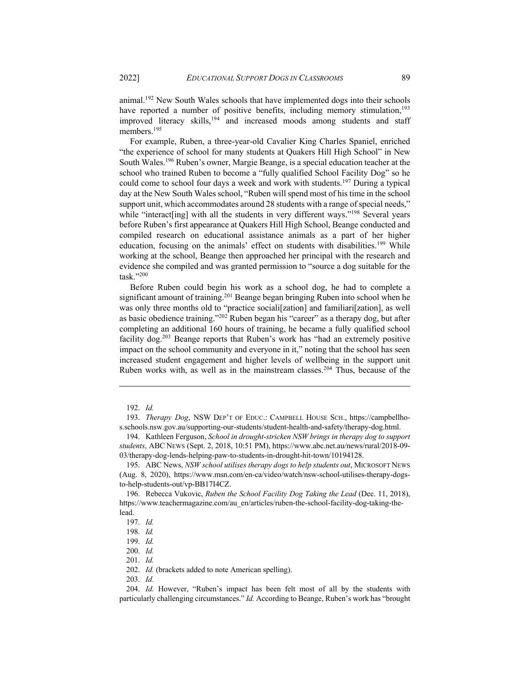animal.192 New South Wales schools that have implemented dogs into their schools have reported a number of positive benefits, including memory stimulation,<sup>193</sup> improved literacy skills,<sup>194</sup> and increased moods among students and staff members.<sup>195</sup>

For example, Ruben, a three-year-old Cavalier King Charles Spaniel, enriched "the experience of school for many students at Quakers Hill High School" in New South Wales.196 Ruben's owner, Margie Beange, is a special education teacher at the school who trained Ruben to become a "fully qualified School Facility Dog" so he could come to school four days a week and work with students.<sup>197</sup> During a typical day at the New South Wales school, "Ruben will spend most of his time in the school support unit, which accommodates around 28 students with a range of special needs," while "interact[ing] with all the students in very different ways."<sup>198</sup> Several years before Ruben's first appearance at Quakers Hill High School, Beange conducted and compiled research on educational assistance animals as a part of her higher education, focusing on the animals' effect on students with disabilities.<sup>199</sup> While working at the school, Beange then approached her principal with the research and evidence she compiled and was granted permission to "source a dog suitable for the task."200

Before Ruben could begin his work as a school dog, he had to complete a significant amount of training.<sup>201</sup> Beange began bringing Ruben into school when he was only three months old to "practice sociali[zation] and familiari[zation], as well as basic obedience training."202 Ruben began his "career" as a therapy dog, but after completing an additional 160 hours of training, he became a fully qualified school facility dog.<sup>203</sup> Beange reports that Ruben's work has "had an extremely positive impact on the school community and everyone in it," noting that the school has seen increased student engagement and higher levels of wellbeing in the support unit Ruben works with, as well as in the mainstream classes.<sup>204</sup> Thus, because of the

<sup>192.</sup> *Id.*

<sup>193.</sup> *Therapy Dog*, NSW DEP'T OF EDUC.: CAMPBELL HOUSE SCH., https://campbellhos.schools.nsw.gov.au/supporting-our-students/student-health-and-safety/therapy-dog.html.

<sup>194.</sup> Kathleen Ferguson, *School in drought-stricken NSW brings in therapy dog to support students*, ABC NEWS (Sept. 2, 2018, 10:51 PM), https://www.abc.net.au/news/rural/2018-09- 03/therapy-dog-lends-helping-paw-to-students-in-drought-hit-town/10194128.

<sup>195.</sup> ABC News, *NSW school utilises therapy dogs to help students out*, MICROSOFT NEWS (Aug. 8, 2020), https://www.msn.com/en-ca/video/watch/nsw-school-utilises-therapy-dogsto-help-students-out/vp-BB17I4CZ.

<sup>196.</sup> Rebecca Vukovic, *Ruben the School Facility Dog Taking the Lead* (Dec. 11, 2018), https://www.teachermagazine.com/au\_en/articles/ruben-the-school-facility-dog-taking-thelead.

<sup>197.</sup> *Id.*

<sup>198.</sup> *Id.*

<sup>199.</sup> *Id.*

<sup>200.</sup> *Id.*

<sup>201.</sup> *Id.*

<sup>202.</sup> *Id.* (brackets added to note American spelling).

<sup>203.</sup> *Id.*

<sup>204.</sup> *Id.* However, "Ruben's impact has been felt most of all by the students with particularly challenging circumstances." *Id.* According to Beange, Ruben's work has "brought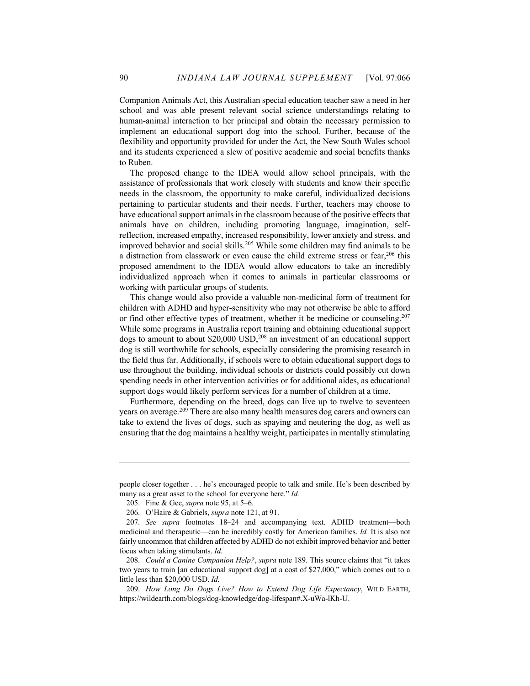Companion Animals Act, this Australian special education teacher saw a need in her school and was able present relevant social science understandings relating to human-animal interaction to her principal and obtain the necessary permission to implement an educational support dog into the school. Further, because of the flexibility and opportunity provided for under the Act, the New South Wales school and its students experienced a slew of positive academic and social benefits thanks to Ruben.

The proposed change to the IDEA would allow school principals, with the assistance of professionals that work closely with students and know their specific needs in the classroom, the opportunity to make careful, individualized decisions pertaining to particular students and their needs. Further, teachers may choose to have educational support animals in the classroom because of the positive effects that animals have on children, including promoting language, imagination, selfreflection, increased empathy, increased responsibility, lower anxiety and stress, and improved behavior and social skills.205 While some children may find animals to be a distraction from classwork or even cause the child extreme stress or fear,  $206$  this proposed amendment to the IDEA would allow educators to take an incredibly individualized approach when it comes to animals in particular classrooms or working with particular groups of students.

This change would also provide a valuable non-medicinal form of treatment for children with ADHD and hyper-sensitivity who may not otherwise be able to afford or find other effective types of treatment, whether it be medicine or counseling.207 While some programs in Australia report training and obtaining educational support dogs to amount to about  $$20,000$  USD,<sup>208</sup> an investment of an educational support dog is still worthwhile for schools, especially considering the promising research in the field thus far. Additionally, if schools were to obtain educational support dogs to use throughout the building, individual schools or districts could possibly cut down spending needs in other intervention activities or for additional aides, as educational support dogs would likely perform services for a number of children at a time.

Furthermore, depending on the breed, dogs can live up to twelve to seventeen years on average.209 There are also many health measures dog carers and owners can take to extend the lives of dogs, such as spaying and neutering the dog, as well as ensuring that the dog maintains a healthy weight, participates in mentally stimulating

people closer together . . . he's encouraged people to talk and smile. He's been described by many as a great asset to the school for everyone here." *Id.* 

<sup>205.</sup> Fine & Gee, *supra* note 95, at 5–6.

<sup>206.</sup> O'Haire & Gabriels, *supra* note 121, at 91.

<sup>207.</sup> *See supra* footnotes 18–24 and accompanying text. ADHD treatment—both medicinal and therapeutic—can be incredibly costly for American families. *Id.* It is also not fairly uncommon that children affected by ADHD do not exhibit improved behavior and better focus when taking stimulants. *Id.*

<sup>208.</sup> *Could a Canine Companion Help?*, *supra* note 189. This source claims that "it takes two years to train [an educational support dog] at a cost of \$27,000," which comes out to a little less than \$20,000 USD. *Id.*

<sup>209.</sup> *How Long Do Dogs Live? How to Extend Dog Life Expectancy*, WILD EARTH, https://wildearth.com/blogs/dog-knowledge/dog-lifespan#.X-uWa-lKh-U.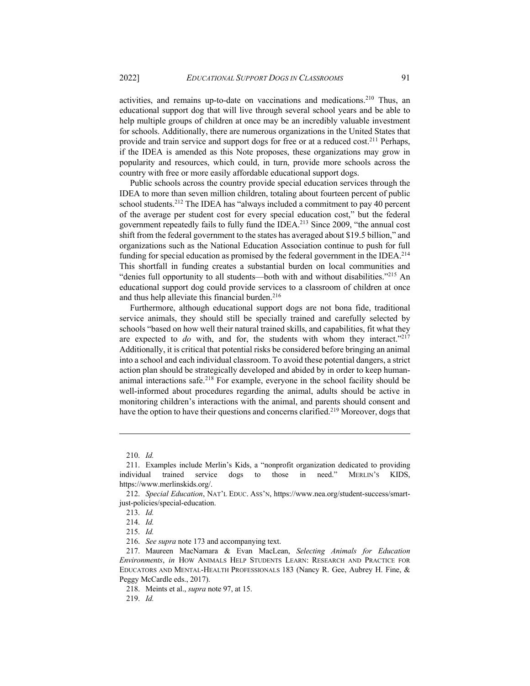activities, and remains up-to-date on vaccinations and medications.210 Thus, an educational support dog that will live through several school years and be able to help multiple groups of children at once may be an incredibly valuable investment for schools. Additionally, there are numerous organizations in the United States that provide and train service and support dogs for free or at a reduced cost.211 Perhaps, if the IDEA is amended as this Note proposes, these organizations may grow in popularity and resources, which could, in turn, provide more schools across the country with free or more easily affordable educational support dogs.

Public schools across the country provide special education services through the IDEA to more than seven million children, totaling about fourteen percent of public school students.<sup>212</sup> The IDEA has "always included a commitment to pay 40 percent of the average per student cost for every special education cost," but the federal government repeatedly fails to fully fund the IDEA.<sup>213</sup> Since 2009, "the annual cost shift from the federal government to the states has averaged about \$19.5 billion," and organizations such as the National Education Association continue to push for full funding for special education as promised by the federal government in the IDEA.<sup>214</sup> This shortfall in funding creates a substantial burden on local communities and "denies full opportunity to all students—both with and without disabilities."215 An educational support dog could provide services to a classroom of children at once and thus help alleviate this financial burden. $216$ 

Furthermore, although educational support dogs are not bona fide, traditional service animals, they should still be specially trained and carefully selected by schools "based on how well their natural trained skills, and capabilities, fit what they are expected to  $do$  with, and for, the students with whom they interact."<sup>217</sup> Additionally, it is critical that potential risks be considered before bringing an animal into a school and each individual classroom. To avoid these potential dangers, a strict action plan should be strategically developed and abided by in order to keep humananimal interactions safe.<sup>218</sup> For example, everyone in the school facility should be well-informed about procedures regarding the animal, adults should be active in monitoring children's interactions with the animal, and parents should consent and have the option to have their questions and concerns clarified.<sup>219</sup> Moreover, dogs that

<sup>210.</sup> *Id.*

<sup>211.</sup> Examples include Merlin's Kids, a "nonprofit organization dedicated to providing individual trained service dogs to those in need." MERLIN'S KIDS, https://www.merlinskids.org/.

<sup>212.</sup> *Special Education*, NAT'L EDUC. ASS'N, https://www.nea.org/student-success/smartjust-policies/special-education.

<sup>213.</sup> *Id.*

<sup>214.</sup> *Id.*

<sup>215.</sup> *Id.*

<sup>216.</sup> *See supra* note 173 and accompanying text.

<sup>217.</sup> Maureen MacNamara & Evan MacLean, *Selecting Animals for Education Environments*, *in* HOW ANIMALS HELP STUDENTS LEARN: RESEARCH AND PRACTICE FOR EDUCATORS AND MENTAL-HEALTH PROFESSIONALS 183 (Nancy R. Gee, Aubrey H. Fine, & Peggy McCardle eds., 2017).

<sup>218.</sup> Meints et al., *supra* note 97, at 15.

<sup>219.</sup> *Id.*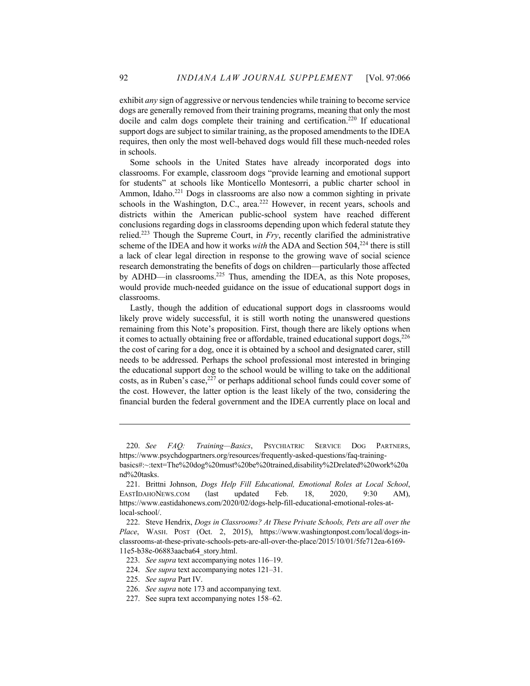exhibit *any* sign of aggressive or nervous tendencies while training to become service dogs are generally removed from their training programs, meaning that only the most docile and calm dogs complete their training and certification. <sup>220</sup> If educational support dogs are subject to similar training, as the proposed amendments to the IDEA requires, then only the most well-behaved dogs would fill these much-needed roles in schools.

Some schools in the United States have already incorporated dogs into classrooms. For example, classroom dogs "provide learning and emotional support for students" at schools like Monticello Montesorri, a public charter school in Ammon, Idaho.<sup>221</sup> Dogs in classrooms are also now a common sighting in private schools in the Washington, D.C., area. $222$  However, in recent years, schools and districts within the American public-school system have reached different conclusions regarding dogs in classrooms depending upon which federal statute they relied.223 Though the Supreme Court, in *Fry*, recently clarified the administrative scheme of the IDEA and how it works *with* the ADA and Section 504,<sup>224</sup> there is still a lack of clear legal direction in response to the growing wave of social science research demonstrating the benefits of dogs on children—particularly those affected by ADHD—in classrooms.<sup>225</sup> Thus, amending the IDEA, as this Note proposes, would provide much-needed guidance on the issue of educational support dogs in classrooms.

Lastly, though the addition of educational support dogs in classrooms would likely prove widely successful, it is still worth noting the unanswered questions remaining from this Note's proposition. First, though there are likely options when it comes to actually obtaining free or affordable, trained educational support dogs,  $^{226}$ the cost of caring for a dog, once it is obtained by a school and designated carer, still needs to be addressed. Perhaps the school professional most interested in bringing the educational support dog to the school would be willing to take on the additional costs, as in Ruben's case, <sup>227</sup> or perhaps additional school funds could cover some of the cost. However, the latter option is the least likely of the two, considering the financial burden the federal government and the IDEA currently place on local and

<sup>220.</sup> *See FAQ: Training—Basics*, PSYCHIATRIC SERVICE DOG PARTNERS, https://www.psychdogpartners.org/resources/frequently-asked-questions/faq-trainingbasics#:~:text=The%20dog%20must%20be%20trained,disability%2Drelated%20work%20a nd%20tasks.

<sup>221.</sup> Brittni Johnson, *Dogs Help Fill Educational, Emotional Roles at Local School*, EASTIDAHONEWS.COM (last updated Feb. 18, 2020, 9:30 AM), https://www.eastidahonews.com/2020/02/dogs-help-fill-educational-emotional-roles-atlocal-school/.

<sup>222.</sup> Steve Hendrix, *Dogs in Classrooms? At These Private Schools, Pets are all over the Place*, WASH. POST (Oct. 2, 2015), https://www.washingtonpost.com/local/dogs-inclassrooms-at-these-private-schools-pets-are-all-over-the-place/2015/10/01/5fe712ea-6169- 11e5-b38e-06883aacba64\_story.html.

<sup>223.</sup> *See supra* text accompanying notes 116–19.

<sup>224.</sup> *See supra* text accompanying notes 121–31.

<sup>225.</sup> *See supra* Part IV.

<sup>226.</sup> *See supra* note 173 and accompanying text.

<sup>227.</sup> See supra text accompanying notes 158–62.